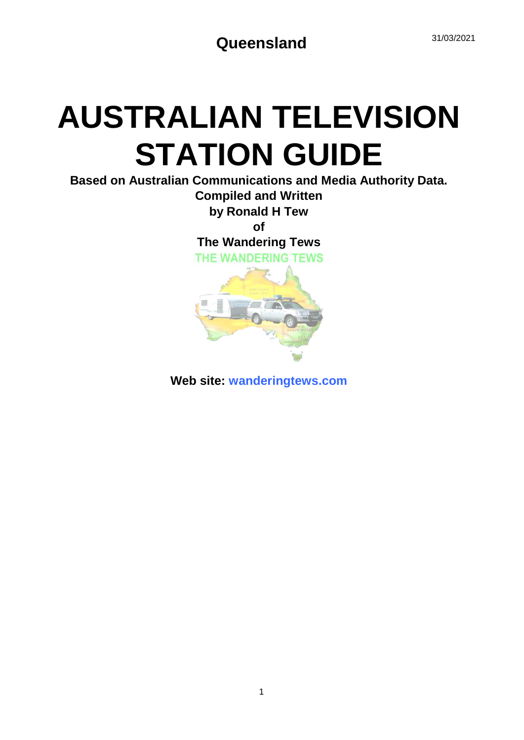# **AUSTRALIAN TELEVISION STATION GUIDE**

**Based on Australian Communications and Media Authority Data. Compiled and Written**

**by Ronald H Tew**

**of**

**The Wandering Tews**

**THE WANDERING TEWS** 



**Web site: wanderingtews.com**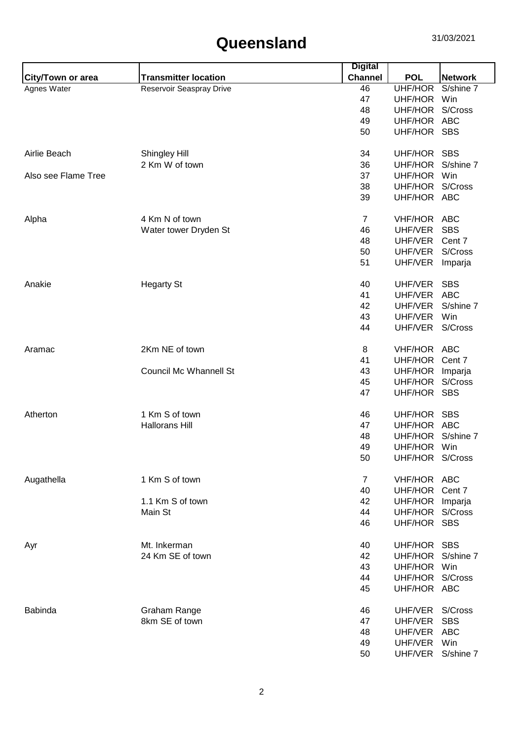|                     |                               | <b>Digital</b> |                 |                |
|---------------------|-------------------------------|----------------|-----------------|----------------|
| City/Town or area   | <b>Transmitter location</b>   | <b>Channel</b> | <b>POL</b>      | <b>Network</b> |
| Agnes Water         | Reservoir Seaspray Drive      | 46             | UHF/HOR         | S/shine 7      |
|                     |                               | 47             | UHF/HOR         | Win            |
|                     |                               | 48             | UHF/HOR         | S/Cross        |
|                     |                               | 49             | UHF/HOR ABC     |                |
|                     |                               | 50             | UHF/HOR SBS     |                |
| Airlie Beach        | Shingley Hill                 | 34             | UHF/HOR         | <b>SBS</b>     |
|                     | 2 Km W of town                | 36             | UHF/HOR         | S/shine 7      |
| Also see Flame Tree |                               | 37             | UHF/HOR         | Win            |
|                     |                               | 38             | UHF/HOR S/Cross |                |
|                     |                               | 39             | UHF/HOR ABC     |                |
| Alpha               | 4 Km N of town                | $\overline{7}$ | VHF/HOR         | <b>ABC</b>     |
|                     | Water tower Dryden St         | 46             | UHF/VER         | <b>SBS</b>     |
|                     |                               | 48             | UHF/VER         | Cent 7         |
|                     |                               | 50             | UHF/VER         | S/Cross        |
|                     |                               | 51             | UHF/VER         | Imparja        |
| Anakie              | <b>Hegarty St</b>             | 40             | UHF/VER         | <b>SBS</b>     |
|                     |                               | 41             | UHF/VER         | <b>ABC</b>     |
|                     |                               | 42             | UHF/VER         | S/shine 7      |
|                     |                               | 43             | UHF/VER         | Win            |
|                     |                               | 44             | UHF/VER         | S/Cross        |
| Aramac              | 2Km NE of town                | 8              | VHF/HOR ABC     |                |
|                     |                               | 41             | UHF/HOR         | Cent 7         |
|                     | <b>Council Mc Whannell St</b> | 43             | UHF/HOR         | Imparja        |
|                     |                               | 45             | UHF/HOR S/Cross |                |
|                     |                               | 47             | UHF/HOR SBS     |                |
| Atherton            | 1 Km S of town                | 46             | UHF/HOR         | <b>SBS</b>     |
|                     | <b>Hallorans Hill</b>         | 47             | UHF/HOR ABC     |                |
|                     |                               | 48             | UHF/HOR         | S/shine 7      |
|                     |                               | 49             | UHF/HOR         | Win            |
|                     |                               | 50             | UHF/HOR S/Cross |                |
| Augathella          | 1 Km S of town                | $\overline{7}$ | VHF/HOR ABC     |                |
|                     |                               | 40             | UHF/HOR         | Cent 7         |
|                     | 1.1 Km S of town              | 42             | UHF/HOR         | Imparja        |
|                     | Main St                       | 44             | UHF/HOR         | S/Cross        |
|                     |                               | 46             | UHF/HOR SBS     |                |
| Ayr                 | Mt. Inkerman                  | 40             | UHF/HOR SBS     |                |
|                     | 24 Km SE of town              | 42             | UHF/HOR         | S/shine 7      |
|                     |                               | 43             | UHF/HOR         | Win            |
|                     |                               | 44             | UHF/HOR S/Cross |                |
|                     |                               | 45             | UHF/HOR ABC     |                |
| <b>Babinda</b>      | Graham Range                  | 46             | UHF/VER         | S/Cross        |
|                     | 8km SE of town                | 47             | UHF/VER         | <b>SBS</b>     |
|                     |                               | 48             | UHF/VER         | <b>ABC</b>     |
|                     |                               | 49             | UHF/VER         | Win            |
|                     |                               | 50             | UHF/VER         | S/shine 7      |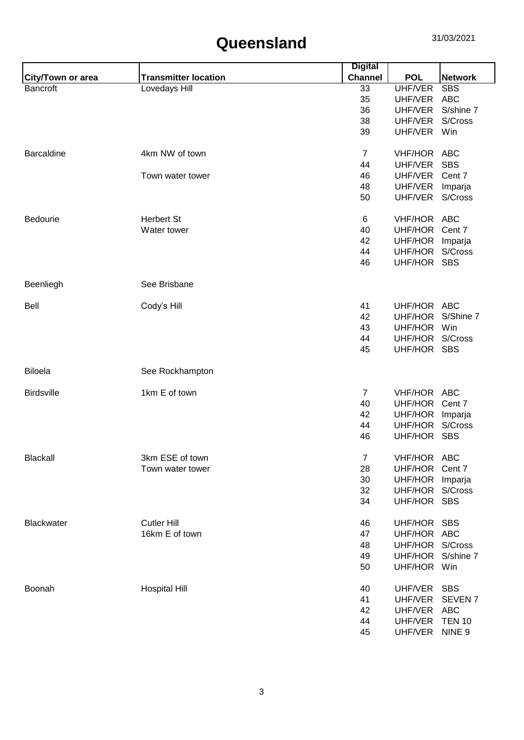|                   |                             | <b>Digital</b> |                                      |                |
|-------------------|-----------------------------|----------------|--------------------------------------|----------------|
| City/Town or area | <b>Transmitter location</b> | <b>Channel</b> | <b>POL</b>                           | <b>Network</b> |
| <b>Bancroft</b>   | <b>Lovedays Hill</b>        | 33             | <b>UHF/VER</b>                       | <b>SBS</b>     |
|                   |                             | 35             | UHF/VER                              | ABC            |
|                   |                             | 36             | UHF/VER                              | S/shine 7      |
|                   |                             | 38             | UHF/VER                              | S/Cross        |
|                   |                             | 39             | UHF/VER                              | Win            |
| <b>Barcaldine</b> | 4km NW of town              | $\overline{7}$ | VHF/HOR ABC                          |                |
|                   |                             | 44             | UHF/VER                              | <b>SBS</b>     |
|                   | Town water tower            | 46             | UHF/VER                              | Cent 7         |
|                   |                             | 48             | UHF/VER                              | Imparja        |
|                   |                             | 50             | UHF/VER                              | S/Cross        |
| Bedourie          | <b>Herbert St</b>           | 6              | VHF/HOR ABC                          |                |
|                   | Water tower                 | 40             | UHF/HOR Cent 7                       |                |
|                   |                             | 42             | UHF/HOR Imparja                      |                |
|                   |                             | 44             | UHF/HOR                              | S/Cross        |
|                   |                             | 46             | UHF/HOR SBS                          |                |
| Beenliegh         | See Brisbane                |                |                                      |                |
| Bell              | Cody's Hill                 | 41             | UHF/HOR ABC                          |                |
|                   |                             | 42             | UHF/HOR                              | S/Shine 7      |
|                   |                             | 43             | UHF/HOR Win                          |                |
|                   |                             | 44             | UHF/HOR S/Cross                      |                |
|                   |                             | 45             | UHF/HOR SBS                          |                |
| <b>Biloela</b>    | See Rockhampton             |                |                                      |                |
| <b>Birdsville</b> | 1km E of town               | 7              | VHF/HOR ABC                          |                |
|                   |                             | 40             | UHF/HOR Cent 7                       |                |
|                   |                             | 42             | UHF/HOR                              | Imparja        |
|                   |                             | 44             | UHF/HOR S/Cross                      |                |
|                   |                             | 46             | UHF/HOR                              | <b>SBS</b>     |
| Blackall          | 3km ESE of town             | $\overline{7}$ | VHF/HOR ABC                          |                |
|                   | Town water tower            | 28             | UHF/HOR Cent 7                       |                |
|                   |                             | 30             | UHF/HOR Imparja                      |                |
|                   |                             | 32             | UHF/HOR S/Cross                      |                |
|                   |                             | 34             | UHF/HOR SBS                          |                |
|                   | <b>Cutler Hill</b>          |                | UHF/HOR SBS                          |                |
| <b>Blackwater</b> | 16km E of town              | 46             | UHF/HOR ABC                          |                |
|                   |                             | 47             |                                      |                |
|                   |                             | 48             | UHF/HOR S/Cross<br>UHF/HOR S/shine 7 |                |
|                   |                             | 49<br>50       | UHF/HOR Win                          |                |
|                   |                             |                |                                      |                |
| Boonah            | <b>Hospital Hill</b>        | 40             | UHF/VER                              | <b>SBS</b>     |
|                   |                             | 41             | UHF/VER                              | <b>SEVEN7</b>  |
|                   |                             | 42             | UHF/VER                              | ABC            |
|                   |                             | 44             | UHF/VER TEN 10                       |                |
|                   |                             | 45             | UHF/VER NINE 9                       |                |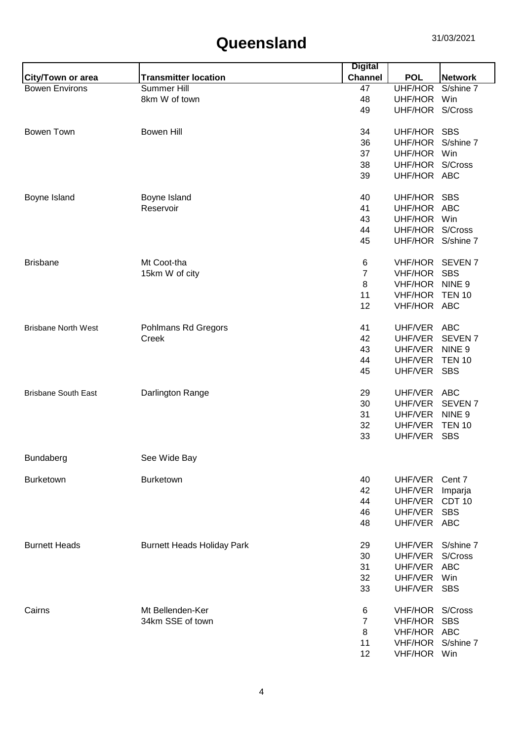|                            |                                   | <b>Digital</b> |                   |                    |
|----------------------------|-----------------------------------|----------------|-------------------|--------------------|
| <b>City/Town or area</b>   | <b>Transmitter location</b>       | <b>Channel</b> | <b>POL</b>        | <b>Network</b>     |
| <b>Bowen Environs</b>      | Summer Hill                       | 47             | UHF/HOR           | S/shine 7          |
|                            | 8km W of town                     | 48             | UHF/HOR           | Win                |
|                            |                                   | 49             | UHF/HOR S/Cross   |                    |
|                            |                                   |                |                   |                    |
| Bowen Town                 | <b>Bowen Hill</b>                 | 34             | UHF/HOR SBS       |                    |
|                            |                                   | 36             | UHF/HOR           | S/shine 7          |
|                            |                                   |                | UHF/HOR Win       |                    |
|                            |                                   | 37             |                   |                    |
|                            |                                   | 38             | UHF/HOR S/Cross   |                    |
|                            |                                   | 39             | UHF/HOR ABC       |                    |
| Boyne Island               | Boyne Island                      | 40             | UHF/HOR SBS       |                    |
|                            | Reservoir                         | 41             | UHF/HOR ABC       |                    |
|                            |                                   | 43             | UHF/HOR Win       |                    |
|                            |                                   | 44             | UHF/HOR           | S/Cross            |
|                            |                                   |                | UHF/HOR S/shine 7 |                    |
|                            |                                   | 45             |                   |                    |
| <b>Brisbane</b>            | Mt Coot-tha                       | 6              | <b>VHF/HOR</b>    | <b>SEVEN7</b>      |
|                            | 15km W of city                    | $\overline{7}$ | <b>VHF/HOR</b>    | <b>SBS</b>         |
|                            |                                   | 8              | <b>VHF/HOR</b>    | NINE <sub>9</sub>  |
|                            |                                   | 11             | <b>VHF/HOR</b>    | <b>TEN 10</b>      |
|                            |                                   | 12             | VHF/HOR ABC       |                    |
|                            |                                   |                |                   |                    |
| <b>Brisbane North West</b> | Pohlmans Rd Gregors               | 41             | UHF/VER           | <b>ABC</b>         |
|                            | Creek                             | 42             | UHF/VER           | SEVEN <sub>7</sub> |
|                            |                                   | 43             | UHF/VER           | NINE <sub>9</sub>  |
|                            |                                   | 44             | UHF/VER           | <b>TEN 10</b>      |
|                            |                                   | 45             | UHF/VER           | <b>SBS</b>         |
|                            |                                   |                |                   |                    |
| <b>Brisbane South East</b> | Darlington Range                  | 29             | UHF/VER           | ABC                |
|                            |                                   | 30             | UHF/VER           | <b>SEVEN7</b>      |
|                            |                                   | 31             | UHF/VER           | NINE <sub>9</sub>  |
|                            |                                   | 32             | UHF/VER           | <b>TEN 10</b>      |
|                            |                                   | 33             | UHF/VER           | <b>SBS</b>         |
|                            |                                   |                |                   |                    |
| Bundaberg                  | See Wide Bay                      |                |                   |                    |
|                            |                                   |                |                   |                    |
| <b>Burketown</b>           | Burketown                         | 40             | UHF/VER           | Cent 7             |
|                            |                                   | 42             | UHF/VER           | Imparja            |
|                            |                                   | 44             | UHF/VER           | CDT <sub>10</sub>  |
|                            |                                   | 46             | UHF/VER           | <b>SBS</b>         |
|                            |                                   | 48             | UHF/VER ABC       |                    |
|                            |                                   |                |                   |                    |
| <b>Burnett Heads</b>       | <b>Burnett Heads Holiday Park</b> | 29             | UHF/VER           | S/shine 7          |
|                            |                                   | 30             | UHF/VER           | S/Cross            |
|                            |                                   | 31             | UHF/VER           | <b>ABC</b>         |
|                            |                                   | 32             | UHF/VER           | Win                |
|                            |                                   | 33             | UHF/VER           | <b>SBS</b>         |
| Cairns                     | Mt Bellenden-Ker                  | 6              | VHF/HOR S/Cross   |                    |
|                            | 34km SSE of town                  | $\overline{7}$ | VHF/HOR           | <b>SBS</b>         |
|                            |                                   |                |                   |                    |
|                            |                                   | 8              | VHF/HOR ABC       |                    |
|                            |                                   | 11             | <b>VHF/HOR</b>    | S/shine 7          |
|                            |                                   | 12             | VHF/HOR Win       |                    |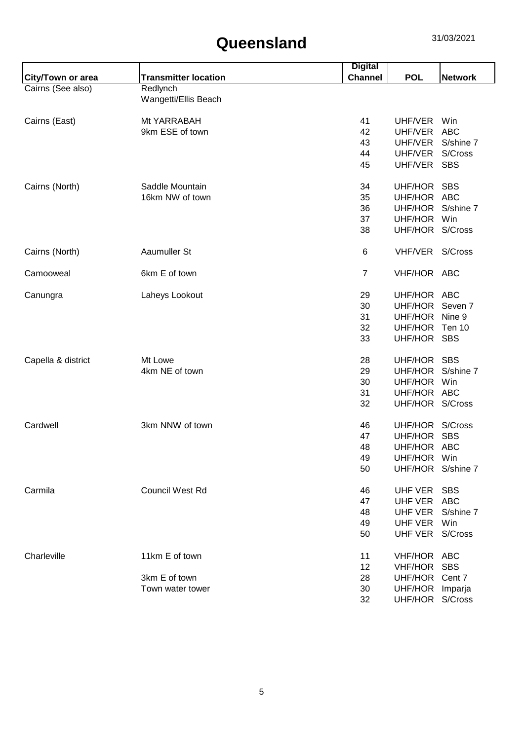|                    |                             | <b>Digital</b> |                   |                |
|--------------------|-----------------------------|----------------|-------------------|----------------|
| City/Town or area  | <b>Transmitter location</b> | <b>Channel</b> | <b>POL</b>        | <b>Network</b> |
| Cairns (See also)  | Redlynch                    |                |                   |                |
|                    | Wangetti/Ellis Beach        |                |                   |                |
|                    | Mt YARRABAH                 | 41             | UHF/VER           | Win            |
| Cairns (East)      | 9km ESE of town             | 42             | UHF/VER           | <b>ABC</b>     |
|                    |                             | 43             | UHF/VER           | S/shine 7      |
|                    |                             | 44             | UHF/VER           | S/Cross        |
|                    |                             | 45             | UHF/VER           | <b>SBS</b>     |
|                    |                             |                |                   |                |
| Cairns (North)     | Saddle Mountain             | 34             | UHF/HOR           | <b>SBS</b>     |
|                    | 16km NW of town             | 35             | UHF/HOR ABC       |                |
|                    |                             | 36             | UHF/HOR           | S/shine 7      |
|                    |                             | 37             | UHF/HOR           | Win            |
|                    |                             | 38             | UHF/HOR S/Cross   |                |
| Cairns (North)     | Aaumuller St                | 6              | VHF/VER           | S/Cross        |
|                    |                             |                |                   |                |
| Camooweal          | 6km E of town               | $\overline{7}$ | VHF/HOR ABC       |                |
| Canungra           | Laheys Lookout              | 29             | UHF/HOR ABC       |                |
|                    |                             | 30             | UHF/HOR           | Seven 7        |
|                    |                             | 31             | UHF/HOR           | Nine 9         |
|                    |                             | 32             | UHF/HOR           | Ten 10         |
|                    |                             | 33             | UHF/HOR SBS       |                |
| Capella & district | Mt Lowe                     | 28             | UHF/HOR           | <b>SBS</b>     |
|                    | 4km NE of town              | 29             | UHF/HOR           | S/shine 7      |
|                    |                             | 30             | UHF/HOR           | Win            |
|                    |                             | 31             | UHF/HOR ABC       |                |
|                    |                             | 32             | UHF/HOR S/Cross   |                |
| Cardwell           | 3km NNW of town             | 46             | UHF/HOR S/Cross   |                |
|                    |                             | 47             | UHF/HOR           | <b>SBS</b>     |
|                    |                             | 48             | UHF/HOR ABC       |                |
|                    |                             | 49             | UHF/HOR           | Win            |
|                    |                             | 50             | UHF/HOR S/shine 7 |                |
|                    |                             |                |                   |                |
| Carmila            | <b>Council West Rd</b>      | 46             | UHF VER           | <b>SBS</b>     |
|                    |                             | 47             | <b>UHF VER</b>    | <b>ABC</b>     |
|                    |                             | 48             | <b>UHF VER</b>    | S/shine 7      |
|                    |                             | 49             | <b>UHF VER</b>    | Win            |
|                    |                             | 50             | UHF VER           | S/Cross        |
| Charleville        | 11km E of town              | 11             | VHF/HOR           | <b>ABC</b>     |
|                    |                             | 12             | <b>VHF/HOR</b>    | <b>SBS</b>     |
|                    | 3km E of town               | 28             | UHF/HOR           | Cent 7         |
|                    | Town water tower            | 30             | UHF/HOR           | Imparja        |
|                    |                             | 32             | UHF/HOR           | S/Cross        |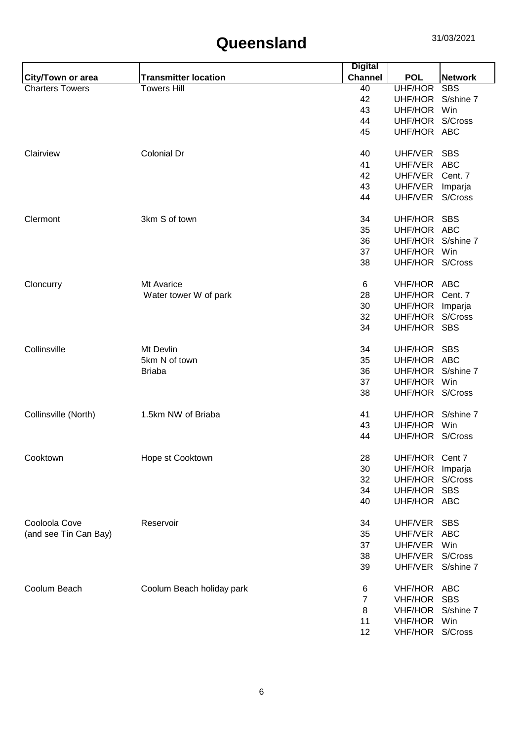|                        |                             | <b>Digital</b>   |                   |                |
|------------------------|-----------------------------|------------------|-------------------|----------------|
| City/Town or area      | <b>Transmitter location</b> | <b>Channel</b>   | <b>POL</b>        | <b>Network</b> |
| <b>Charters Towers</b> | <b>Towers Hill</b>          | 40               | <b>UHF/HOR</b>    | <b>SBS</b>     |
|                        |                             | 42               | UHF/HOR           | S/shine 7      |
|                        |                             | 43               | UHF/HOR           | Win            |
|                        |                             | 44               | UHF/HOR           | S/Cross        |
|                        |                             | 45               | UHF/HOR ABC       |                |
| Clairview              | <b>Colonial Dr</b>          | 40               | UHF/VER           | <b>SBS</b>     |
|                        |                             | 41               | UHF/VER           | <b>ABC</b>     |
|                        |                             | 42               | UHF/VER           | Cent. 7        |
|                        |                             | 43               | UHF/VER           | Imparja        |
|                        |                             | 44               | UHF/VER S/Cross   |                |
|                        |                             |                  |                   |                |
| Clermont               | 3km S of town               | 34               | UHF/HOR           | <b>SBS</b>     |
|                        |                             | 35               | UHF/HOR ABC       |                |
|                        |                             | 36               | UHF/HOR           | S/shine 7      |
|                        |                             | 37               | UHF/HOR Win       |                |
|                        |                             | 38               | UHF/HOR S/Cross   |                |
| Cloncurry              | Mt Avarice                  | 6                | VHF/HOR ABC       |                |
|                        | Water tower W of park       | 28               | UHF/HOR Cent. 7   |                |
|                        |                             | 30               | UHF/HOR Imparja   |                |
|                        |                             | 32               | UHF/HOR           | S/Cross        |
|                        |                             | 34               | UHF/HOR SBS       |                |
| Collinsville           | Mt Devlin                   | 34               | UHF/HOR SBS       |                |
|                        | 5km N of town               | 35               | UHF/HOR ABC       |                |
|                        | <b>Briaba</b>               | 36               | UHF/HOR S/shine 7 |                |
|                        |                             | 37               | UHF/HOR Win       |                |
|                        |                             | 38               | UHF/HOR S/Cross   |                |
|                        |                             |                  |                   |                |
| Collinsville (North)   | 1.5km NW of Briaba          | 41               | UHF/HOR           | S/shine 7      |
|                        |                             | 43               | UHF/HOR           | Win            |
|                        |                             | 44               | UHF/HOR S/Cross   |                |
| Cooktown               | Hope st Cooktown            | 28               | UHF/HOR           | Cent 7         |
|                        |                             | 30               | UHF/HOR           | Imparja        |
|                        |                             | 32               | UHF/HOR           | S/Cross        |
|                        |                             | 34               | UHF/HOR           | <b>SBS</b>     |
|                        |                             | 40               | UHF/HOR ABC       |                |
| Cooloola Cove          | Reservoir                   | 34               | UHF/VER           | <b>SBS</b>     |
| (and see Tin Can Bay)  |                             | 35               | UHF/VER           | <b>ABC</b>     |
|                        |                             | 37               | UHF/VER           | Win            |
|                        |                             | 38               | UHF/VER           | S/Cross        |
|                        |                             | 39               | UHF/VER           | S/shine 7      |
|                        |                             |                  |                   |                |
| Coolum Beach           | Coolum Beach holiday park   | 6                | VHF/HOR ABC       |                |
|                        |                             | $\boldsymbol{7}$ | <b>VHF/HOR</b>    | <b>SBS</b>     |
|                        |                             | 8                | <b>VHF/HOR</b>    | S/shine 7      |
|                        |                             | 11               | VHF/HOR           | Win            |
|                        |                             | 12               | VHF/HOR S/Cross   |                |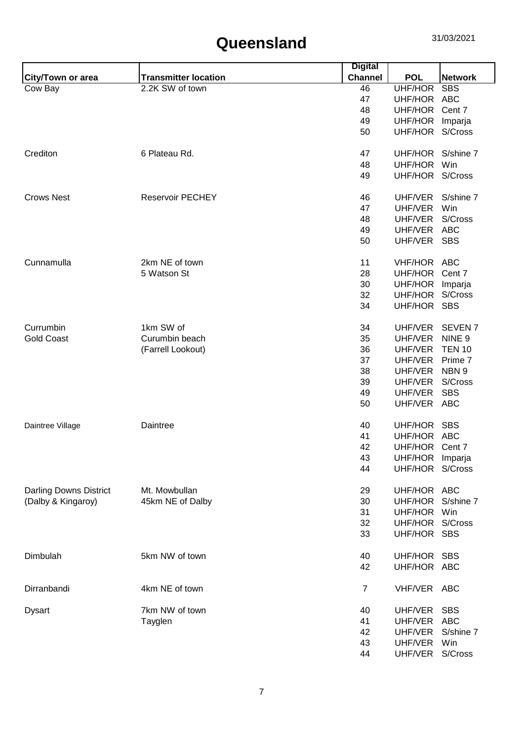|                               |                             | <b>Digital</b> |                 |                    |
|-------------------------------|-----------------------------|----------------|-----------------|--------------------|
| <b>City/Town or area</b>      | <b>Transmitter location</b> | <b>Channel</b> | <b>POL</b>      | <b>Network</b>     |
| Cow Bay                       | 2.2K SW of town             | 46             | <b>UHF/HOR</b>  | <b>SBS</b>         |
|                               |                             | 47             | UHF/HOR ABC     |                    |
|                               |                             | 48             | UHF/HOR Cent 7  |                    |
|                               |                             | 49             | UHF/HOR         | Imparja            |
|                               |                             | 50             | UHF/HOR         | S/Cross            |
| Crediton                      | 6 Plateau Rd.               | 47             | UHF/HOR         | S/shine 7          |
|                               |                             | 48             | UHF/HOR         | Win                |
|                               |                             | 49             | UHF/HOR S/Cross |                    |
| <b>Crows Nest</b>             | <b>Reservoir PECHEY</b>     | 46             | UHF/VER         | S/shine 7          |
|                               |                             | 47             | UHF/VER         | Win                |
|                               |                             | 48             | UHF/VER         | S/Cross            |
|                               |                             | 49             | UHF/VER         | <b>ABC</b>         |
|                               |                             | 50             | UHF/VER         | <b>SBS</b>         |
| Cunnamulla                    | 2km NE of town              | 11             | VHF/HOR ABC     |                    |
|                               | 5 Watson St                 | 28             | UHF/HOR Cent 7  |                    |
|                               |                             | 30             | UHF/HOR Imparja |                    |
|                               |                             | 32             | UHF/HOR         | S/Cross            |
|                               |                             | 34             | UHF/HOR SBS     |                    |
| Currumbin                     | 1km SW of                   | 34             | UHF/VER         | SEVEN <sub>7</sub> |
| <b>Gold Coast</b>             | Curumbin beach              | 35             | UHF/VER         | NINE <sub>9</sub>  |
|                               | (Farrell Lookout)           | 36             | UHF/VER         | <b>TEN 10</b>      |
|                               |                             | 37             | UHF/VER         | Prime 7            |
|                               |                             | 38             | UHF/VER         | NBN <sub>9</sub>   |
|                               |                             | 39             | UHF/VER         | S/Cross            |
|                               |                             | 49             | UHF/VER         | <b>SBS</b>         |
|                               |                             | 50             | UHF/VER         | ABC                |
| Daintree Village              | Daintree                    | 40             | UHF/HOR         | <b>SBS</b>         |
|                               |                             | 41             | UHF/HOR ABC     |                    |
|                               |                             | 42             | UHF/HOR Cent 7  |                    |
|                               |                             | 43             | UHF/HOR Imparja |                    |
|                               |                             | 44             | UHF/HOR S/Cross |                    |
| <b>Darling Downs District</b> | Mt. Mowbullan               | 29             | UHF/HOR ABC     |                    |
| (Dalby & Kingaroy)            | 45km NE of Dalby            | 30             | UHF/HOR         | S/shine 7          |
|                               |                             | 31             | UHF/HOR Win     |                    |
|                               |                             | 32             | UHF/HOR S/Cross |                    |
|                               |                             | 33             | UHF/HOR SBS     |                    |
| Dimbulah                      | 5km NW of town              | 40             | UHF/HOR SBS     |                    |
|                               |                             | 42             | UHF/HOR ABC     |                    |
| Dirranbandi                   | 4km NE of town              | $\overline{7}$ | VHF/VER ABC     |                    |
| <b>Dysart</b>                 | 7km NW of town              | 40             | UHF/VER         | <b>SBS</b>         |
|                               | Tayglen                     | 41             | UHF/VER         | ABC                |
|                               |                             | 42             | UHF/VER         | S/shine 7          |
|                               |                             | 43             | UHF/VER         | Win                |
|                               |                             | 44             | UHF/VER         | S/Cross            |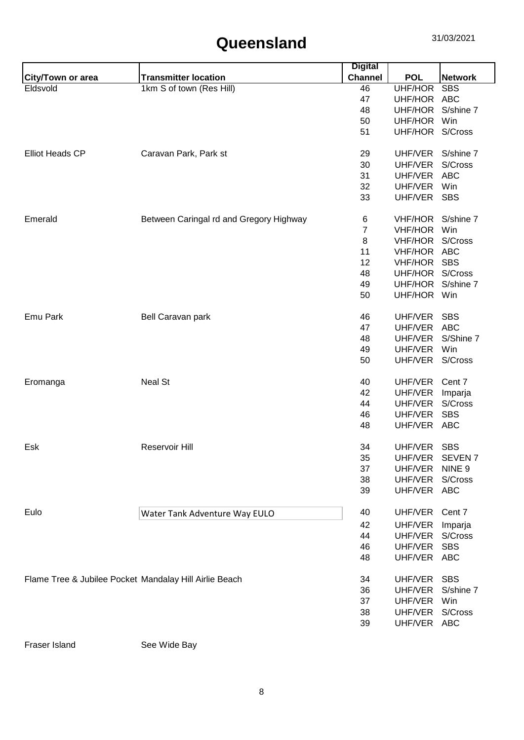|                                                        |                                         | <b>Digital</b> |                 |                    |
|--------------------------------------------------------|-----------------------------------------|----------------|-----------------|--------------------|
| <b>City/Town or area</b>                               | <b>Transmitter location</b>             | <b>Channel</b> | <b>POL</b>      | <b>Network</b>     |
| Eldsvold                                               | 1km S of town (Res Hill)                | 46             | <b>UHF/HOR</b>  | <b>SBS</b>         |
|                                                        |                                         | 47             | UHF/HOR ABC     |                    |
|                                                        |                                         | 48             | UHF/HOR         | S/shine 7          |
|                                                        |                                         | 50             | UHF/HOR         | Win                |
|                                                        |                                         | 51             | UHF/HOR S/Cross |                    |
| <b>Elliot Heads CP</b>                                 | Caravan Park, Park st                   | 29             | UHF/VER         | S/shine 7          |
|                                                        |                                         | 30             | UHF/VER         | S/Cross            |
|                                                        |                                         | 31             | UHF/VER         | <b>ABC</b>         |
|                                                        |                                         | 32             | UHF/VER         | Win                |
|                                                        |                                         | 33             | UHF/VER         | <b>SBS</b>         |
| Emerald                                                | Between Caringal rd and Gregory Highway | 6              | <b>VHF/HOR</b>  | S/shine 7          |
|                                                        |                                         | 7              | <b>VHF/HOR</b>  | Win                |
|                                                        |                                         | 8              | <b>VHF/HOR</b>  | S/Cross            |
|                                                        |                                         | 11             | <b>VHF/HOR</b>  | <b>ABC</b>         |
|                                                        |                                         | 12             | <b>VHF/HOR</b>  | <b>SBS</b>         |
|                                                        |                                         | 48             | UHF/HOR         | S/Cross            |
|                                                        |                                         | 49             | UHF/HOR         | S/shine 7          |
|                                                        |                                         | 50             | UHF/HOR Win     |                    |
| Emu Park                                               | Bell Caravan park                       | 46             | UHF/VER         | <b>SBS</b>         |
|                                                        |                                         | 47             | UHF/VER         | <b>ABC</b>         |
|                                                        |                                         | 48             | UHF/VER         | S/Shine 7          |
|                                                        |                                         | 49             | UHF/VER         | Win                |
|                                                        |                                         | 50             | UHF/VER         | S/Cross            |
| Eromanga                                               | <b>Neal St</b>                          | 40             | UHF/VER         | Cent 7             |
|                                                        |                                         | 42             | UHF/VER         | Imparja            |
|                                                        |                                         | 44             | UHF/VER         | S/Cross            |
|                                                        |                                         | 46             | UHF/VER         | <b>SBS</b>         |
|                                                        |                                         | 48             | UHF/VER         | ABC                |
| Esk                                                    | Reservoir Hill                          | 34             | UHF/VER         | <b>SBS</b>         |
|                                                        |                                         | 35             | UHF/VER         | SEVEN <sub>7</sub> |
|                                                        |                                         | 37             | UHF/VER         | NINE <sub>9</sub>  |
|                                                        |                                         | 38             | UHF/VER         | S/Cross            |
|                                                        |                                         | 39             | UHF/VER ABC     |                    |
| Eulo                                                   | Water Tank Adventure Way EULO           | 40             | UHF/VER         | Cent 7             |
|                                                        |                                         | 42             | UHF/VER         | Imparja            |
|                                                        |                                         | 44             | UHF/VER         | S/Cross            |
|                                                        |                                         | 46             | UHF/VER         | <b>SBS</b>         |
|                                                        |                                         | 48             | UHF/VER ABC     |                    |
| Flame Tree & Jubilee Pocket Mandalay Hill Airlie Beach |                                         | 34             | UHF/VER         | <b>SBS</b>         |
|                                                        |                                         | 36             | UHF/VER         | S/shine 7          |
|                                                        |                                         | 37             | UHF/VER         | Win                |
|                                                        |                                         | 38             | UHF/VER         | S/Cross            |
|                                                        |                                         | 39             | UHF/VER ABC     |                    |
|                                                        |                                         |                |                 |                    |

Fraser Island See Wide Bay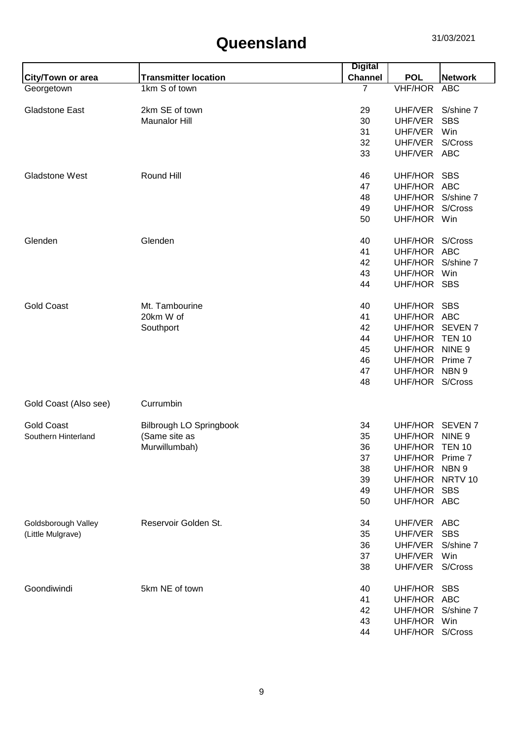|                       |                             | <b>Digital</b> |                   |                   |
|-----------------------|-----------------------------|----------------|-------------------|-------------------|
| City/Town or area     | <b>Transmitter location</b> | <b>Channel</b> | <b>POL</b>        | <b>Network</b>    |
| Georgetown            | 1km S of town               | 7              | <b>VHF/HOR</b>    | <b>ABC</b>        |
|                       |                             |                |                   |                   |
| Gladstone East        | 2km SE of town              | 29             | UHF/VER           | S/shine 7         |
|                       | <b>Maunalor Hill</b>        | 30             | UHF/VER           | <b>SBS</b>        |
|                       |                             | 31             | UHF/VER           | Win               |
|                       |                             | 32             | UHF/VER           | S/Cross           |
|                       |                             | 33             | UHF/VER ABC       |                   |
| <b>Gladstone West</b> | Round Hill                  | 46             | UHF/HOR           | <b>SBS</b>        |
|                       |                             | 47             | UHF/HOR ABC       |                   |
|                       |                             | 48             | UHF/HOR S/shine 7 |                   |
|                       |                             | 49             | UHF/HOR           | S/Cross           |
|                       |                             | 50             | UHF/HOR Win       |                   |
| Glenden               | Glenden                     | 40             | UHF/HOR           | S/Cross           |
|                       |                             | 41             | UHF/HOR ABC       |                   |
|                       |                             | 42             | UHF/HOR           | S/shine 7         |
|                       |                             | 43             | UHF/HOR           | Win               |
|                       |                             | 44             | UHF/HOR SBS       |                   |
|                       |                             |                |                   |                   |
| <b>Gold Coast</b>     | Mt. Tambourine              | 40             | UHF/HOR SBS       |                   |
|                       | 20km W of                   | 41             | UHF/HOR ABC       |                   |
|                       | Southport                   | 42             | UHF/HOR SEVEN 7   |                   |
|                       |                             | 44             | UHF/HOR           | <b>TEN 10</b>     |
|                       |                             | 45             | UHF/HOR           | NINE <sub>9</sub> |
|                       |                             | 46             | UHF/HOR Prime 7   |                   |
|                       |                             | 47             | UHF/HOR NBN 9     |                   |
|                       |                             | 48             | UHF/HOR S/Cross   |                   |
| Gold Coast (Also see) | Currumbin                   |                |                   |                   |
| <b>Gold Coast</b>     | Bilbrough LO Springbook     | 34             | UHF/HOR SEVEN 7   |                   |
| Southern Hinterland   | (Same site as               | 35             | UHF/HOR           | NINE <sub>9</sub> |
|                       | Murwillumbah)               | 36             | UHF/HOR TEN 10    |                   |
|                       |                             |                |                   |                   |
|                       |                             | 37             | UHF/HOR Prime 7   |                   |
|                       |                             | 38             | UHF/HOR           | NBN 9             |
|                       |                             | 39             | UHF/HOR NRTV 10   |                   |
|                       |                             | 49             | UHF/HOR SBS       |                   |
|                       |                             | 50             | UHF/HOR ABC       |                   |
| Goldsborough Valley   | Reservoir Golden St.        | 34             | UHF/VER           | <b>ABC</b>        |
| (Little Mulgrave)     |                             | 35             | UHF/VER           | <b>SBS</b>        |
|                       |                             | 36             | UHF/VER           | S/shine 7         |
|                       |                             | 37             | UHF/VER           | Win               |
|                       |                             | 38             | UHF/VER S/Cross   |                   |
| Goondiwindi           | 5km NE of town              | 40             | UHF/HOR SBS       |                   |
|                       |                             | 41             | UHF/HOR ABC       |                   |
|                       |                             | 42             | UHF/HOR           | S/shine 7         |
|                       |                             | 43             | UHF/HOR           | Win               |
|                       |                             | 44             | UHF/HOR S/Cross   |                   |
|                       |                             |                |                   |                   |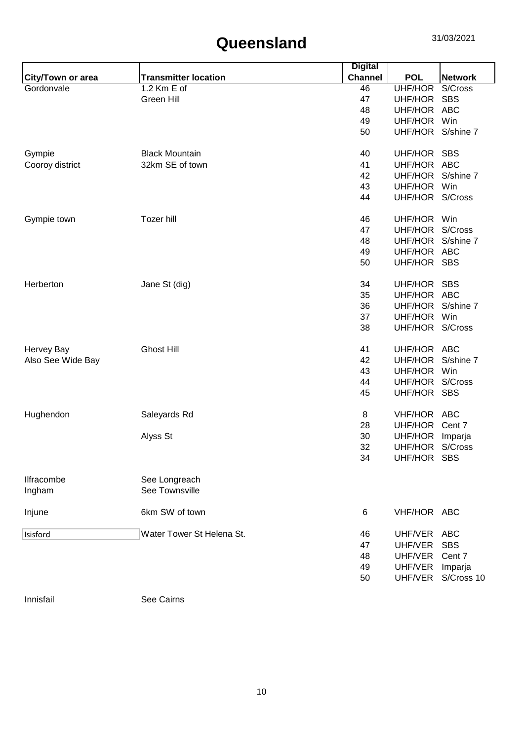|                      |                                 | <b>Digital</b> |                 |                |
|----------------------|---------------------------------|----------------|-----------------|----------------|
| City/Town or area    | <b>Transmitter location</b>     | <b>Channel</b> | <b>POL</b>      | <b>Network</b> |
| Gordonvale           | $1.2$ Km E of                   | 46             | UHF/HOR         | S/Cross        |
|                      | <b>Green Hill</b>               | 47             | UHF/HOR         | <b>SBS</b>     |
|                      |                                 | 48             | UHF/HOR         | ABC            |
|                      |                                 | 49             | UHF/HOR         | Win            |
|                      |                                 | 50             | UHF/HOR         | S/shine 7      |
| Gympie               | <b>Black Mountain</b>           | 40             | UHF/HOR         | <b>SBS</b>     |
| Cooroy district      | 32km SE of town                 | 41             | UHF/HOR ABC     |                |
|                      |                                 | 42             | UHF/HOR         | S/shine 7      |
|                      |                                 | 43             | UHF/HOR         | Win            |
|                      |                                 | 44             | UHF/HOR S/Cross |                |
| Gympie town          | Tozer hill                      | 46             | UHF/HOR Win     |                |
|                      |                                 | 47             | UHF/HOR         | S/Cross        |
|                      |                                 | 48             | <b>UHF/HOR</b>  | S/shine 7      |
|                      |                                 | 49             | UHF/HOR ABC     |                |
|                      |                                 | 50             | UHF/HOR SBS     |                |
| Herberton            | Jane St (dig)                   | 34             | UHF/HOR         | <b>SBS</b>     |
|                      |                                 | 35             | UHF/HOR ABC     |                |
|                      |                                 | 36             | UHF/HOR         | S/shine 7      |
|                      |                                 | 37             | UHF/HOR         | Win            |
|                      |                                 | 38             | UHF/HOR S/Cross |                |
| Hervey Bay           | <b>Ghost Hill</b>               | 41             | UHF/HOR ABC     |                |
| Also See Wide Bay    |                                 | 42             | UHF/HOR         | S/shine 7      |
|                      |                                 | 43             | UHF/HOR         | Win            |
|                      |                                 | 44             | UHF/HOR         | S/Cross        |
|                      |                                 | 45             | UHF/HOR SBS     |                |
| Hughendon            | Saleyards Rd                    | 8              | VHF/HOR ABC     |                |
|                      |                                 | 28             | <b>UHF/HOR</b>  | Cent 7         |
|                      | Alyss St                        | 30             | UHF/HOR         | Imparja        |
|                      |                                 | 32             | UHF/HOR S/Cross |                |
|                      |                                 | 34             | UHF/HOR SBS     |                |
| Ilfracombe<br>Ingham | See Longreach<br>See Townsville |                |                 |                |
|                      |                                 |                |                 |                |
| Injune               | 6km SW of town                  | $\,6$          | VHF/HOR ABC     |                |
| Isisford             | Water Tower St Helena St.       | 46             | UHF/VER         | <b>ABC</b>     |
|                      |                                 | 47             | UHF/VER         | <b>SBS</b>     |
|                      |                                 | 48             | UHF/VER         | Cent 7         |
|                      |                                 | 49             | UHF/VER         | Imparja        |
|                      |                                 | 50             | UHF/VER         | S/Cross 10     |

Innisfail See Cairns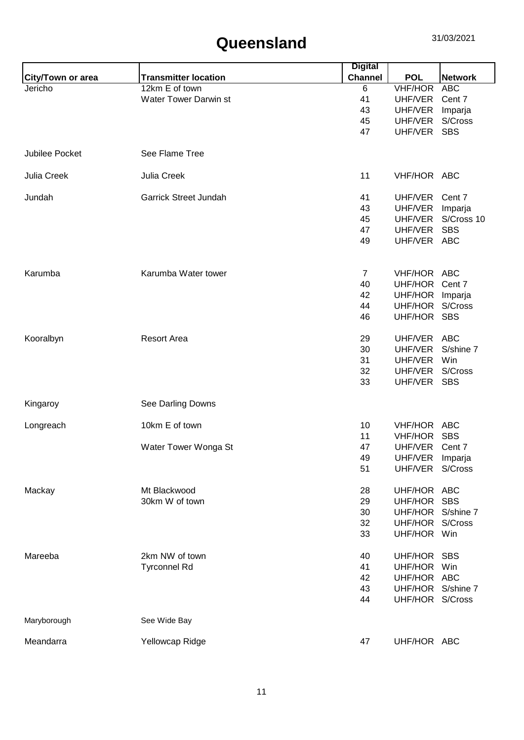|                          |                              | <b>Digital</b> |                   |                |
|--------------------------|------------------------------|----------------|-------------------|----------------|
| <b>City/Town or area</b> | <b>Transmitter location</b>  | <b>Channel</b> | <b>POL</b>        | <b>Network</b> |
| Jericho                  | 12km E of town               | 6              | <b>VHF/HOR</b>    | <b>ABC</b>     |
|                          | <b>Water Tower Darwin st</b> | 41             | UHF/VER           | Cent 7         |
|                          |                              | 43             | UHF/VER           | Imparja        |
|                          |                              | 45             | UHF/VER           | S/Cross        |
|                          |                              |                |                   | <b>SBS</b>     |
|                          |                              | 47             | UHF/VER           |                |
|                          |                              |                |                   |                |
| Jubilee Pocket           | See Flame Tree               |                |                   |                |
| Julia Creek              | Julia Creek                  | 11             | VHF/HOR ABC       |                |
| Jundah                   | <b>Garrick Street Jundah</b> | 41             | UHF/VER           | Cent 7         |
|                          |                              | 43             | UHF/VER           | Imparja        |
|                          |                              | 45             | UHF/VER           | S/Cross 10     |
|                          |                              | 47             | UHF/VER           | <b>SBS</b>     |
|                          |                              |                | UHF/VER ABC       |                |
|                          |                              | 49             |                   |                |
|                          |                              |                |                   |                |
| Karumba                  | Karumba Water tower          | $\overline{7}$ | VHF/HOR ABC       |                |
|                          |                              | 40             | UHF/HOR           | Cent 7         |
|                          |                              | 42             | UHF/HOR           | Imparja        |
|                          |                              | 44             | UHF/HOR           | S/Cross        |
|                          |                              | 46             | UHF/HOR SBS       |                |
| Kooralbyn                | <b>Resort Area</b>           | 29             | UHF/VER           | <b>ABC</b>     |
|                          |                              | 30             | UHF/VER           | S/shine 7      |
|                          |                              | 31             | UHF/VER           | Win            |
|                          |                              |                |                   |                |
|                          |                              | 32             | UHF/VER           | S/Cross        |
|                          |                              | 33             | UHF/VER           | <b>SBS</b>     |
| Kingaroy                 | See Darling Downs            |                |                   |                |
| Longreach                | 10km E of town               | 10             | VHF/HOR ABC       |                |
|                          |                              |                |                   |                |
|                          |                              | 11             | VHF/HOR SBS       |                |
|                          | Water Tower Wonga St         | 47             | UHF/VER Cent 7    |                |
|                          |                              | 49             | UHF/VER Imparja   |                |
|                          |                              | 51             | UHF/VER           | S/Cross        |
| Mackay                   | Mt Blackwood                 | 28             | UHF/HOR ABC       |                |
|                          | 30km W of town               | 29             | UHF/HOR           | <b>SBS</b>     |
|                          |                              | 30             | UHF/HOR S/shine 7 |                |
|                          |                              | 32             | UHF/HOR S/Cross   |                |
|                          |                              | 33             | UHF/HOR           | Win            |
|                          |                              |                |                   |                |
| Mareeba                  | 2km NW of town               | 40             | UHF/HOR           | <b>SBS</b>     |
|                          | <b>Tyrconnel Rd</b>          | 41             | UHF/HOR           | Win            |
|                          |                              | 42             | UHF/HOR ABC       |                |
|                          |                              | 43             | UHF/HOR S/shine 7 |                |
|                          |                              | 44             | UHF/HOR S/Cross   |                |
|                          |                              |                |                   |                |
| Maryborough              | See Wide Bay                 |                |                   |                |
| Meandarra                | Yellowcap Ridge              | 47             | UHF/HOR ABC       |                |
|                          |                              |                |                   |                |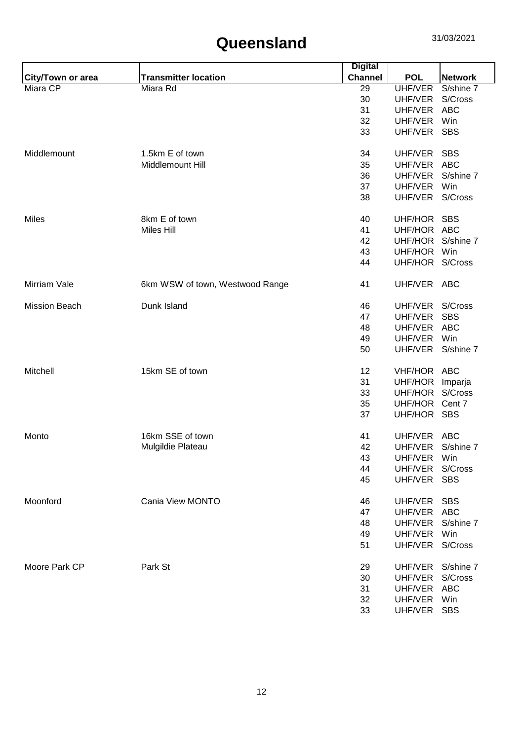|                      |                                 | <b>Digital</b> |                   |                |
|----------------------|---------------------------------|----------------|-------------------|----------------|
| City/Town or area    | <b>Transmitter location</b>     | <b>Channel</b> | <b>POL</b>        | <b>Network</b> |
| Miara CP             | Miara Rd                        | 29             | UHF/VER           | S/shine 7      |
|                      |                                 | 30             | UHF/VER           | S/Cross        |
|                      |                                 | 31             | UHF/VER           | <b>ABC</b>     |
|                      |                                 | 32             | UHF/VER           | Win            |
|                      |                                 | 33             | UHF/VER           | <b>SBS</b>     |
| Middlemount          | 1.5km E of town                 | 34             | UHF/VER           | <b>SBS</b>     |
|                      | Middlemount Hill                | 35             | UHF/VER           | <b>ABC</b>     |
|                      |                                 | 36             | UHF/VER           | S/shine 7      |
|                      |                                 | 37             | UHF/VER           | Win            |
|                      |                                 | 38             | UHF/VER           | S/Cross        |
| <b>Miles</b>         | 8km E of town                   | 40             | UHF/HOR           | <b>SBS</b>     |
|                      | Miles Hill                      | 41             | UHF/HOR ABC       |                |
|                      |                                 | 42             | UHF/HOR           | S/shine 7      |
|                      |                                 | 43             | UHF/HOR Win       |                |
|                      |                                 | 44             | UHF/HOR S/Cross   |                |
| Mirriam Vale         | 6km WSW of town, Westwood Range | 41             | UHF/VER ABC       |                |
| <b>Mission Beach</b> | Dunk Island                     | 46             | UHF/VER           | S/Cross        |
|                      |                                 | 47             | UHF/VER           | <b>SBS</b>     |
|                      |                                 | 48             | UHF/VER           | <b>ABC</b>     |
|                      |                                 | 49             | UHF/VER           | Win            |
|                      |                                 | 50             | UHF/VER S/shine 7 |                |
| Mitchell             | 15km SE of town                 | 12             | VHF/HOR ABC       |                |
|                      |                                 | 31             | UHF/HOR Imparja   |                |
|                      |                                 | 33             | UHF/HOR           | S/Cross        |
|                      |                                 | 35             | UHF/HOR Cent 7    |                |
|                      |                                 | 37             | UHF/HOR SBS       |                |
| Monto                | 16km SSE of town                | 41             | UHF/VER ABC       |                |
|                      | Mulgildie Plateau               | 42             | UHF/VER           | S/shine 7      |
|                      |                                 | 43             | UHF/VER           | Win            |
|                      |                                 | 44             | UHF/VER           | S/Cross        |
|                      |                                 | 45             | UHF/VER SBS       |                |
| Moonford             | Cania View MONTO                | 46             | UHF/VER           | SBS            |
|                      |                                 | 47             | UHF/VER           | <b>ABC</b>     |
|                      |                                 | 48             | UHF/VER           | S/shine 7      |
|                      |                                 | 49             | UHF/VER           | Win            |
|                      |                                 | 51             | UHF/VER S/Cross   |                |
| Moore Park CP        | Park St                         | 29             | UHF/VER           | S/shine 7      |
|                      |                                 | 30             | UHF/VER           | S/Cross        |
|                      |                                 | 31             | UHF/VER           | ABC            |
|                      |                                 | 32             | UHF/VER           | Win            |
|                      |                                 | 33             | UHF/VER SBS       |                |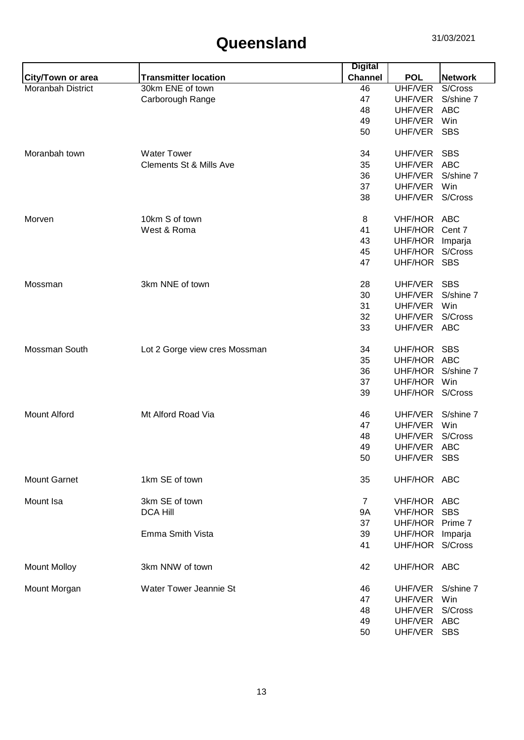|                     |                                    | <b>Digital</b> |                 |                |
|---------------------|------------------------------------|----------------|-----------------|----------------|
| City/Town or area   | <b>Transmitter location</b>        | <b>Channel</b> | <b>POL</b>      | <b>Network</b> |
| Moranbah District   | 30km ENE of town                   | 46             | UHF/VER         | S/Cross        |
|                     | Carborough Range                   | 47             | UHF/VER         | S/shine 7      |
|                     |                                    | 48             | UHF/VER         | <b>ABC</b>     |
|                     |                                    | 49             | UHF/VER         | Win            |
|                     |                                    | 50             | UHF/VER         | <b>SBS</b>     |
| Moranbah town       | <b>Water Tower</b>                 | 34             | UHF/VER         | <b>SBS</b>     |
|                     | <b>Clements St &amp; Mills Ave</b> | 35             | UHF/VER         | <b>ABC</b>     |
|                     |                                    | 36             | UHF/VER         | S/shine 7      |
|                     |                                    | 37             | UHF/VER         | Win            |
|                     |                                    | 38             | UHF/VER         | S/Cross        |
| Morven              | 10km S of town                     | 8              | VHF/HOR ABC     |                |
|                     | West & Roma                        | 41             | UHF/HOR         | Cent 7         |
|                     |                                    | 43             | UHF/HOR         | Imparja        |
|                     |                                    | 45             | UHF/HOR         | S/Cross        |
|                     |                                    | 47             | UHF/HOR SBS     |                |
| Mossman             | 3km NNE of town                    | 28             | UHF/VER         | <b>SBS</b>     |
|                     |                                    | 30             | UHF/VER         | S/shine 7      |
|                     |                                    | 31             | UHF/VER         | Win            |
|                     |                                    | 32             | UHF/VER         | S/Cross        |
|                     |                                    | 33             | UHF/VER ABC     |                |
|                     |                                    |                |                 |                |
| Mossman South       | Lot 2 Gorge view cres Mossman      | 34             | UHF/HOR         | <b>SBS</b>     |
|                     |                                    | 35             | UHF/HOR ABC     |                |
|                     |                                    | 36             | UHF/HOR         | S/shine 7      |
|                     |                                    | 37             | UHF/HOR         | Win            |
|                     |                                    | 39             | UHF/HOR S/Cross |                |
| <b>Mount Alford</b> | Mt Alford Road Via                 | 46             | UHF/VER         | S/shine 7      |
|                     |                                    | 47             | UHF/VER         | Win            |
|                     |                                    | 48             | UHF/VER         | S/Cross        |
|                     |                                    | 49             | UHF/VER         | ABC            |
|                     |                                    | 50             | UHF/VER SBS     |                |
| <b>Mount Garnet</b> | 1km SE of town                     | 35             | UHF/HOR ABC     |                |
|                     |                                    |                |                 |                |
| Mount Isa           | 3km SE of town                     | $\overline{7}$ | VHF/HOR ABC     |                |
|                     | <b>DCA Hill</b>                    | <b>9A</b>      | <b>VHF/HOR</b>  | <b>SBS</b>     |
|                     |                                    | 37             | UHF/HOR Prime 7 |                |
|                     | Emma Smith Vista                   | 39             | UHF/HOR         | Imparja        |
|                     |                                    | 41             | UHF/HOR S/Cross |                |
| <b>Mount Molloy</b> | 3km NNW of town                    | 42             | UHF/HOR ABC     |                |
| Mount Morgan        | Water Tower Jeannie St             | 46             | UHF/VER         | S/shine 7      |
|                     |                                    | 47             | UHF/VER         | Win            |
|                     |                                    | 48             | UHF/VER         | S/Cross        |
|                     |                                    | 49             | UHF/VER         | ABC            |
|                     |                                    | 50             | UHF/VER SBS     |                |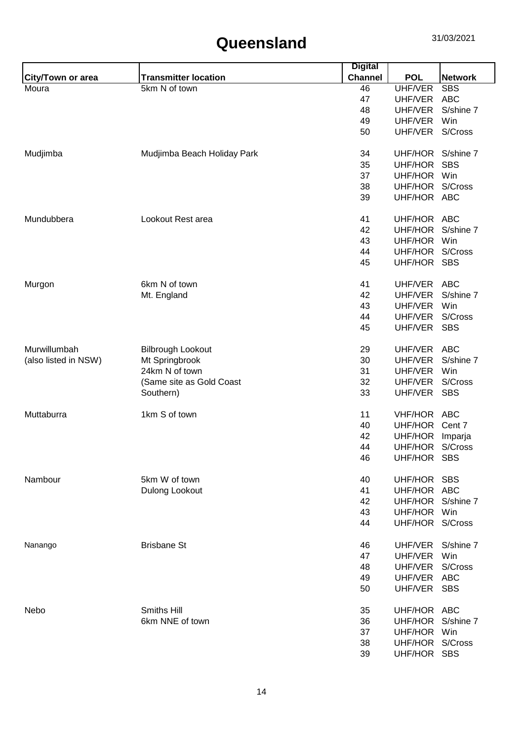|                      |                             | <b>Digital</b> |                   |                |
|----------------------|-----------------------------|----------------|-------------------|----------------|
| City/Town or area    | <b>Transmitter location</b> | <b>Channel</b> | <b>POL</b>        | <b>Network</b> |
| Moura                | 5km N of town               | 46             | UHF/VER           | <b>SBS</b>     |
|                      |                             | 47             | UHF/VER           | <b>ABC</b>     |
|                      |                             | 48             | UHF/VER           | S/shine 7      |
|                      |                             | 49             | UHF/VER           | Win            |
|                      |                             | 50             | UHF/VER           | S/Cross        |
| Mudjimba             | Mudjimba Beach Holiday Park | 34             | UHF/HOR           | S/shine 7      |
|                      |                             | 35             | UHF/HOR           | <b>SBS</b>     |
|                      |                             | 37             | UHF/HOR Win       |                |
|                      |                             | 38             | UHF/HOR           | S/Cross        |
|                      |                             | 39             | UHF/HOR ABC       |                |
| Mundubbera           | Lookout Rest area           | 41             | UHF/HOR ABC       |                |
|                      |                             | 42             | UHF/HOR           | S/shine 7      |
|                      |                             | 43             | UHF/HOR           | Win            |
|                      |                             | 44             | UHF/HOR S/Cross   |                |
|                      |                             | 45             | UHF/HOR SBS       |                |
| Murgon               | 6km N of town               | 41             | UHF/VER           | <b>ABC</b>     |
|                      | Mt. England                 | 42             | UHF/VER           | S/shine 7      |
|                      |                             | 43             | UHF/VER           | Win            |
|                      |                             | 44             | UHF/VER           | S/Cross        |
|                      |                             | 45             | UHF/VER           | <b>SBS</b>     |
|                      |                             |                |                   |                |
| Murwillumbah         | <b>Bilbrough Lookout</b>    | 29             | UHF/VER           | ABC            |
| (also listed in NSW) | Mt Springbrook              | 30             | UHF/VER           | S/shine 7      |
|                      | 24km N of town              | 31             | UHF/VER           | Win            |
|                      | (Same site as Gold Coast    | 32             | UHF/VER           | S/Cross        |
|                      | Southern)                   | 33             | UHF/VER           | <b>SBS</b>     |
| Muttaburra           | 1km S of town               | 11             | VHF/HOR ABC       |                |
|                      |                             | 40             | UHF/HOR           | Cent 7         |
|                      |                             | 42             | UHF/HOR           | Imparja        |
|                      |                             | 44             | UHF/HOR           | S/Cross        |
|                      |                             | 46             | UHF/HOR SBS       |                |
| Nambour              | 5km W of town               | 40             | UHF/HOR SBS       |                |
|                      | Dulong Lookout              | 41             | UHF/HOR ABC       |                |
|                      |                             | 42             | UHF/HOR           | S/shine 7      |
|                      |                             | 43             | UHF/HOR Win       |                |
|                      |                             | 44             | UHF/HOR S/Cross   |                |
| Nanango              | <b>Brisbane St</b>          | 46             | UHF/VER           | S/shine 7      |
|                      |                             | 47             | UHF/VER           | Win            |
|                      |                             | 48             | UHF/VER           | S/Cross        |
|                      |                             | 49             | UHF/VER           | ABC            |
|                      |                             | 50             | UHF/VER SBS       |                |
| Nebo                 | Smiths Hill                 | 35             | UHF/HOR ABC       |                |
|                      | 6km NNE of town             | 36             | UHF/HOR S/shine 7 |                |
|                      |                             | 37             | UHF/HOR Win       |                |
|                      |                             | 38             | UHF/HOR S/Cross   |                |
|                      |                             | 39             | UHF/HOR SBS       |                |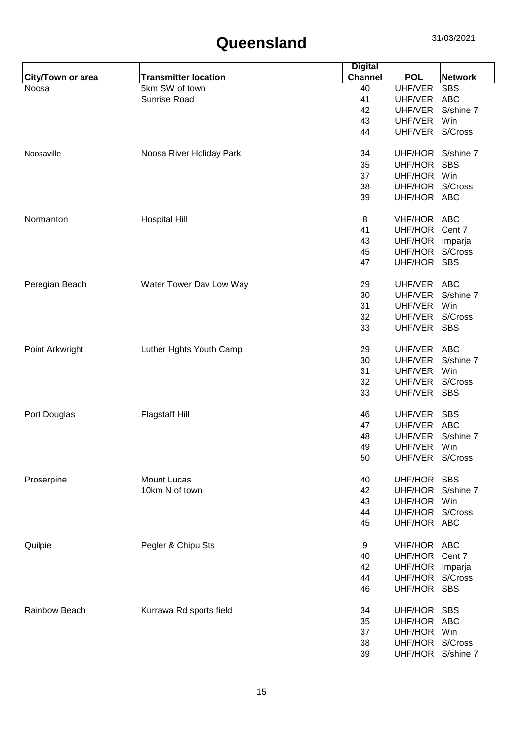|                   |                             | <b>Digital</b> |                   |                |
|-------------------|-----------------------------|----------------|-------------------|----------------|
| City/Town or area | <b>Transmitter location</b> | <b>Channel</b> | <b>POL</b>        | <b>Network</b> |
| Noosa             | 5km SW of town              | 40             | UHF/VER           | <b>SBS</b>     |
|                   | Sunrise Road                | 41             | UHF/VER           | <b>ABC</b>     |
|                   |                             | 42             | UHF/VER           | S/shine 7      |
|                   |                             | 43             | UHF/VER           | Win            |
|                   |                             | 44             | UHF/VER           | S/Cross        |
| Noosaville        | Noosa River Holiday Park    | 34             | UHF/HOR           | S/shine 7      |
|                   |                             | 35             | UHF/HOR           | <b>SBS</b>     |
|                   |                             | 37             | UHF/HOR           | Win            |
|                   |                             | 38             | UHF/HOR           | S/Cross        |
|                   |                             | 39             | UHF/HOR ABC       |                |
| Normanton         | <b>Hospital Hill</b>        | 8              | VHF/HOR ABC       |                |
|                   |                             | 41             | UHF/HOR           | Cent 7         |
|                   |                             | 43             | UHF/HOR           | Imparja        |
|                   |                             | 45             | UHF/HOR           | S/Cross        |
|                   |                             | 47             | UHF/HOR SBS       |                |
| Peregian Beach    | Water Tower Dav Low Way     | 29             | UHF/VER           | <b>ABC</b>     |
|                   |                             | 30             | UHF/VER           | S/shine 7      |
|                   |                             | 31             | UHF/VER           | Win            |
|                   |                             | 32             | UHF/VER           | S/Cross        |
|                   |                             |                |                   | <b>SBS</b>     |
|                   |                             | 33             | UHF/VER           |                |
| Point Arkwright   | Luther Hghts Youth Camp     | 29             | UHF/VER           | <b>ABC</b>     |
|                   |                             | 30             | UHF/VER           | S/shine 7      |
|                   |                             | 31             | UHF/VER           | Win            |
|                   |                             | 32             | UHF/VER           | S/Cross        |
|                   |                             | 33             | UHF/VER           | <b>SBS</b>     |
| Port Douglas      | <b>Flagstaff Hill</b>       | 46             | UHF/VER           | <b>SBS</b>     |
|                   |                             | 47             | UHF/VER           | <b>ABC</b>     |
|                   |                             | 48             | UHF/VER           | S/shine 7      |
|                   |                             | 49             | UHF/VER           | Win            |
|                   |                             | 50             | UHF/VER           | S/Cross        |
| Proserpine        | <b>Mount Lucas</b>          | 40             | UHF/HOR           | <b>SBS</b>     |
|                   | 10km N of town              | 42             | UHF/HOR           | S/shine 7      |
|                   |                             | 43             | UHF/HOR           | Win            |
|                   |                             | 44             | UHF/HOR           | S/Cross        |
|                   |                             | 45             | UHF/HOR ABC       |                |
| Quilpie           | Pegler & Chipu Sts          | 9              | VHF/HOR ABC       |                |
|                   |                             | 40             | UHF/HOR           | Cent 7         |
|                   |                             | 42             | UHF/HOR Imparja   |                |
|                   |                             | 44             | UHF/HOR           | S/Cross        |
|                   |                             | 46             | UHF/HOR SBS       |                |
| Rainbow Beach     | Kurrawa Rd sports field     | 34             | UHF/HOR SBS       |                |
|                   |                             | 35             | UHF/HOR ABC       |                |
|                   |                             | 37             | UHF/HOR Win       |                |
|                   |                             | 38             | UHF/HOR S/Cross   |                |
|                   |                             | 39             | UHF/HOR S/shine 7 |                |
|                   |                             |                |                   |                |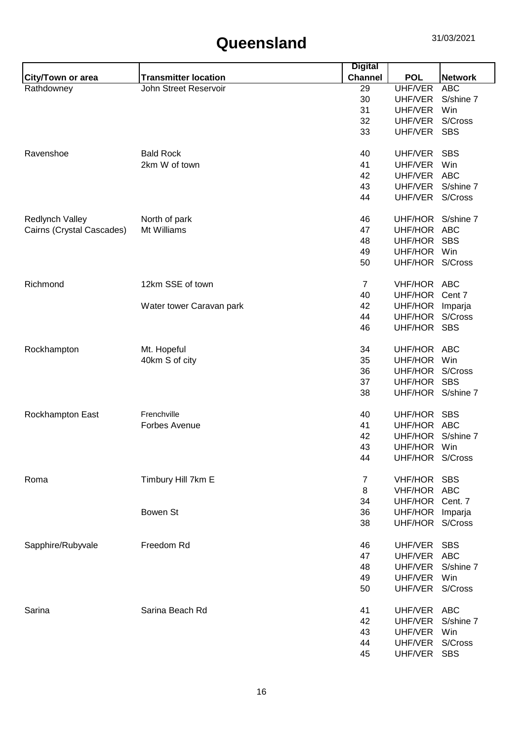|                           |                             | <b>Digital</b> |                   |                |
|---------------------------|-----------------------------|----------------|-------------------|----------------|
| City/Town or area         | <b>Transmitter location</b> | <b>Channel</b> | <b>POL</b>        | <b>Network</b> |
| Rathdowney                | John Street Reservoir       | 29             | UHF/VER           | <b>ABC</b>     |
|                           |                             | 30             | UHF/VER           | S/shine 7      |
|                           |                             | 31             | UHF/VER           | Win            |
|                           |                             | 32             | UHF/VER           | S/Cross        |
|                           |                             | 33             | UHF/VER           | <b>SBS</b>     |
| Ravenshoe                 | <b>Bald Rock</b>            | 40             | UHF/VER           | <b>SBS</b>     |
|                           | 2km W of town               | 41             | UHF/VER           | Win            |
|                           |                             | 42             | UHF/VER           | ABC            |
|                           |                             | 43             | UHF/VER           | S/shine 7      |
|                           |                             | 44             | UHF/VER S/Cross   |                |
| Redlynch Valley           | North of park               | 46             | UHF/HOR S/shine 7 |                |
| Cairns (Crystal Cascades) | Mt Williams                 | 47             | UHF/HOR ABC       |                |
|                           |                             | 48             | UHF/HOR           | <b>SBS</b>     |
|                           |                             | 49             | UHF/HOR Win       |                |
|                           |                             | 50             | UHF/HOR S/Cross   |                |
| Richmond                  | 12km SSE of town            | $\overline{7}$ | VHF/HOR ABC       |                |
|                           |                             | 40             | UHF/HOR           | Cent 7         |
|                           | Water tower Caravan park    | 42             | UHF/HOR Imparja   |                |
|                           |                             | 44             | UHF/HOR           | S/Cross        |
|                           |                             | 46             | UHF/HOR SBS       |                |
| Rockhampton               | Mt. Hopeful                 | 34             | UHF/HOR ABC       |                |
|                           | 40km S of city              | 35             | UHF/HOR           | Win            |
|                           |                             | 36             | UHF/HOR S/Cross   |                |
|                           |                             | 37             | UHF/HOR           | <b>SBS</b>     |
|                           |                             | 38             | UHF/HOR S/shine 7 |                |
| Rockhampton East          | Frenchville                 | 40             | UHF/HOR           | <b>SBS</b>     |
|                           | Forbes Avenue               | 41             | UHF/HOR ABC       |                |
|                           |                             | 42             | UHF/HOR           | S/shine 7      |
|                           |                             | 43             | UHF/HOR           | Win            |
|                           |                             | 44             | UHF/HOR S/Cross   |                |
| Roma                      | Timbury Hill 7km E          | 7              | VHF/HOR SBS       |                |
|                           |                             | 8              | VHF/HOR ABC       |                |
|                           |                             | 34             | UHF/HOR           | Cent. 7        |
|                           | Bowen St                    | 36             | UHF/HOR Imparja   |                |
|                           |                             | 38             | UHF/HOR S/Cross   |                |
| Sapphire/Rubyvale         | Freedom Rd                  | 46             | UHF/VER           | <b>SBS</b>     |
|                           |                             | 47             | UHF/VER           | <b>ABC</b>     |
|                           |                             | 48             | UHF/VER           | S/shine 7      |
|                           |                             | 49             | UHF/VER           | Win            |
|                           |                             | 50             | UHF/VER S/Cross   |                |
| Sarina                    | Sarina Beach Rd             | 41             | UHF/VER ABC       |                |
|                           |                             | 42             | UHF/VER           | S/shine 7      |
|                           |                             | 43             | UHF/VER           | Win            |
|                           |                             | 44             | UHF/VER           | S/Cross        |
|                           |                             | 45             | UHF/VER           | <b>SBS</b>     |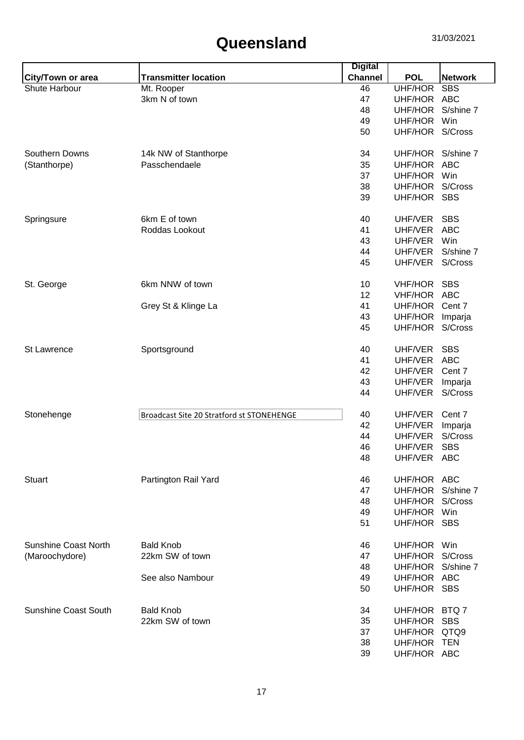|                             |                                           | <b>Digital</b> |                   |                |
|-----------------------------|-------------------------------------------|----------------|-------------------|----------------|
| City/Town or area           | <b>Transmitter location</b>               | <b>Channel</b> | <b>POL</b>        | <b>Network</b> |
| Shute Harbour               | Mt. Rooper                                | 46             | <b>UHF/HOR</b>    | <b>SBS</b>     |
|                             | 3km N of town                             | 47             | UHF/HOR ABC       |                |
|                             |                                           | 48             | UHF/HOR           | S/shine 7      |
|                             |                                           | 49             | UHF/HOR           | Win            |
|                             |                                           | 50             | UHF/HOR S/Cross   |                |
|                             |                                           |                |                   |                |
| <b>Southern Downs</b>       | 14k NW of Stanthorpe                      | 34             | UHF/HOR S/shine 7 |                |
| (Stanthorpe)                | Passchendaele                             | 35             | UHF/HOR           | <b>ABC</b>     |
|                             |                                           | 37             | UHF/HOR           | Win            |
|                             |                                           | 38             | UHF/HOR           | S/Cross        |
|                             |                                           | 39             | UHF/HOR           | <b>SBS</b>     |
|                             |                                           |                |                   |                |
| Springsure                  | 6km E of town                             | 40             | UHF/VER           | <b>SBS</b>     |
|                             | Roddas Lookout                            | 41             | UHF/VER           | <b>ABC</b>     |
|                             |                                           |                |                   |                |
|                             |                                           | 43             | UHF/VER           | Win            |
|                             |                                           | 44             | UHF/VER           | S/shine 7      |
|                             |                                           | 45             | UHF/VER           | S/Cross        |
|                             |                                           |                |                   |                |
| St. George                  | 6km NNW of town                           | 10             | <b>VHF/HOR</b>    | <b>SBS</b>     |
|                             |                                           | 12             | VHF/HOR ABC       |                |
|                             | Grey St & Klinge La                       | 41             | UHF/HOR           | Cent 7         |
|                             |                                           | 43             | UHF/HOR           | Imparja        |
|                             |                                           | 45             | UHF/HOR S/Cross   |                |
|                             |                                           |                |                   |                |
| St Lawrence                 | Sportsground                              | 40             | UHF/VER           | <b>SBS</b>     |
|                             |                                           | 41             | UHF/VER           | <b>ABC</b>     |
|                             |                                           | 42             | UHF/VER           | Cent 7         |
|                             |                                           | 43             | UHF/VER           | Imparja        |
|                             |                                           | 44             | UHF/VER           | S/Cross        |
| Stonehenge                  | Broadcast Site 20 Stratford st STONEHENGE | 40             | UHF/VER           | Cent 7         |
|                             |                                           | 42             | UHF/VER           | Imparja        |
|                             |                                           | 44             | UHF/VER           | S/Cross        |
|                             |                                           | 46             | UHF/VER           | <b>SBS</b>     |
|                             |                                           |                |                   |                |
|                             |                                           | 48             | UHF/VER ABC       |                |
| <b>Stuart</b>               | Partington Rail Yard                      | 46             | UHF/HOR ABC       |                |
|                             |                                           | 47             | UHF/HOR           | S/shine 7      |
|                             |                                           | 48             | UHF/HOR S/Cross   |                |
|                             |                                           | 49             | UHF/HOR           | Win            |
|                             |                                           |                |                   |                |
|                             |                                           | 51             | UHF/HOR SBS       |                |
| <b>Sunshine Coast North</b> | <b>Bald Knob</b>                          | 46             | UHF/HOR           | Win            |
| (Maroochydore)              | 22km SW of town                           | 47             | UHF/HOR           | S/Cross        |
|                             |                                           | 48             | UHF/HOR S/shine 7 |                |
|                             | See also Nambour                          |                | UHF/HOR ABC       |                |
|                             |                                           | 49             |                   |                |
|                             |                                           | 50             | UHF/HOR SBS       |                |
| <b>Sunshine Coast South</b> | <b>Bald Knob</b>                          | 34             | UHF/HOR BTQ 7     |                |
|                             | 22km SW of town                           | 35             | UHF/HOR           | <b>SBS</b>     |
|                             |                                           | 37             | UHF/HOR QTQ9      |                |
|                             |                                           |                | UHF/HOR TEN       |                |
|                             |                                           | 38             |                   |                |
|                             |                                           | 39             | UHF/HOR ABC       |                |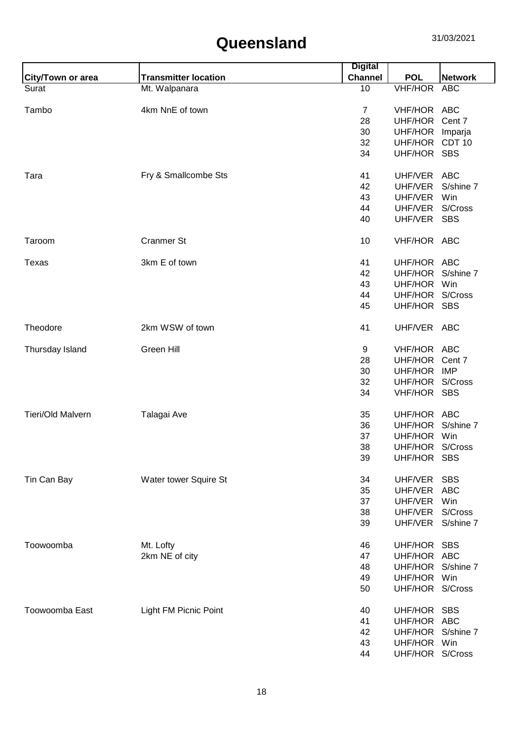|                   |                             | <b>Digital</b> |                            |                   |
|-------------------|-----------------------------|----------------|----------------------------|-------------------|
| City/Town or area | <b>Transmitter location</b> | <b>Channel</b> | <b>POL</b>                 | <b>Network</b>    |
| Surat             | Mt. Walpanara               | 10             | <b>VHF/HOR</b>             | <b>ABC</b>        |
|                   |                             |                |                            |                   |
| Tambo             | 4km NnE of town             | $\overline{7}$ | VHF/HOR ABC                |                   |
|                   |                             | 28             | UHF/HOR                    | Cent 7            |
|                   |                             | 30             | UHF/HOR                    | Imparja           |
|                   |                             | 32             | UHF/HOR                    | CDT <sub>10</sub> |
|                   |                             | 34             | UHF/HOR SBS                |                   |
| Tara              | Fry & Smallcombe Sts        | 41             | UHF/VER ABC                |                   |
|                   |                             | 42             | UHF/VER                    | S/shine 7         |
|                   |                             | 43             | UHF/VER                    | Win               |
|                   |                             | 44             | UHF/VER                    | S/Cross           |
|                   |                             | 40             | UHF/VER                    | <b>SBS</b>        |
| Taroom            | <b>Cranmer St</b>           | 10             | VHF/HOR ABC                |                   |
| Texas             | 3km E of town               | 41             | UHF/HOR ABC                |                   |
|                   |                             | 42             | UHF/HOR                    | S/shine 7         |
|                   |                             | 43             | UHF/HOR                    | Win               |
|                   |                             | 44             | UHF/HOR S/Cross            |                   |
|                   |                             | 45             | UHF/HOR SBS                |                   |
|                   |                             |                |                            |                   |
| Theodore          | 2km WSW of town             | 41             | UHF/VER ABC                |                   |
| Thursday Island   | Green Hill                  | 9              | VHF/HOR ABC                |                   |
|                   |                             | 28             | UHF/HOR                    | Cent 7            |
|                   |                             | 30             | UHF/HOR IMP                |                   |
|                   |                             | 32             | UHF/HOR                    | S/Cross           |
|                   |                             | 34             | VHF/HOR SBS                |                   |
| Tieri/Old Malvern | Talagai Ave                 | 35             | UHF/HOR ABC                |                   |
|                   |                             | 36             | UHF/HOR                    | S/shine 7         |
|                   |                             | 37             | UHF/HOR                    | Win               |
|                   |                             | 38             | UHF/HOR S/Cross            |                   |
|                   |                             | 39             | UHF/HOR                    | <b>SBS</b>        |
| Tin Can Bay       | Water tower Squire St       | 34             | UHF/VER                    | <b>SBS</b>        |
|                   |                             | 35             | UHF/VER                    | <b>ABC</b>        |
|                   |                             | 37             | UHF/VER                    | Win               |
|                   |                             | 38             | UHF/VER                    | S/Cross           |
|                   |                             | 39             | UHF/VER                    | S/shine 7         |
|                   |                             |                |                            |                   |
| Toowoomba         | Mt. Lofty                   | 46             | UHF/HOR SBS<br>UHF/HOR ABC |                   |
|                   | 2km NE of city              | 47             |                            |                   |
|                   |                             | 48             | UHF/HOR                    | S/shine 7         |
|                   |                             | 49             | UHF/HOR                    | Win               |
|                   |                             | 50             | UHF/HOR S/Cross            |                   |
| Toowoomba East    | Light FM Picnic Point       | 40             | UHF/HOR                    | <b>SBS</b>        |
|                   |                             | 41             | UHF/HOR ABC                |                   |
|                   |                             | 42             | UHF/HOR                    | S/shine 7         |
|                   |                             | 43             | UHF/HOR                    | Win               |
|                   |                             | 44             | UHF/HOR S/Cross            |                   |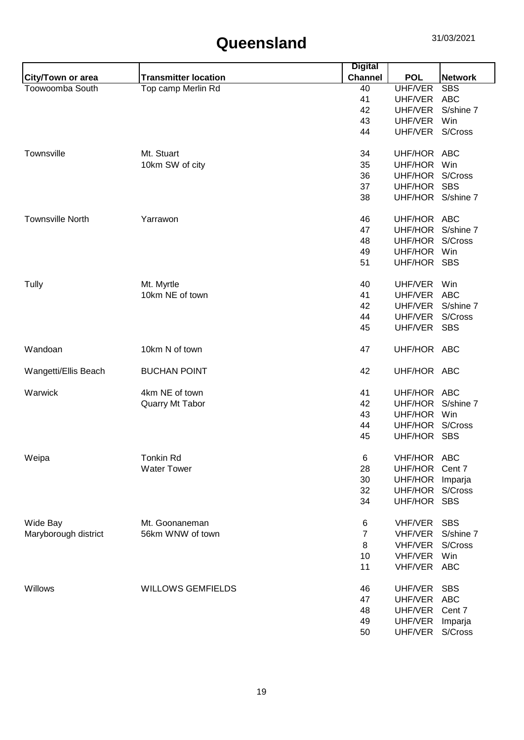| <b>POL</b><br><b>Transmitter location</b><br><b>Channel</b><br><b>Network</b><br>City/Town or area<br><b>UHF/VER</b><br>Toowoomba South<br><b>SBS</b><br>Top camp Merlin Rd<br>40<br>ABC<br>41<br>UHF/VER<br>42<br>UHF/VER<br>S/shine 7<br>UHF/VER<br>Win<br>43<br>44<br>UHF/VER<br>S/Cross<br>Townsville<br>Mt. Stuart<br>UHF/HOR ABC<br>34<br>10km SW of city<br>UHF/HOR<br>Win<br>35<br>36<br>UHF/HOR<br>S/Cross<br>UHF/HOR SBS<br>37<br>38<br>UHF/HOR S/shine 7<br><b>Townsville North</b><br>Yarrawon<br>UHF/HOR ABC<br>46<br>S/shine 7<br>47<br>UHF/HOR<br>S/Cross<br>UHF/HOR<br>48<br>UHF/HOR Win<br>49<br>51<br>UHF/HOR SBS<br>Mt. Myrtle<br>Tully<br>40<br>UHF/VER<br>Win<br>10km NE of town<br><b>ABC</b><br>41<br>UHF/VER<br>S/shine 7<br>UHF/VER<br>42<br>44<br>UHF/VER<br>S/Cross<br>UHF/VER SBS<br>45<br>10km N of town<br>Wandoan<br>47<br>UHF/HOR ABC<br><b>BUCHAN POINT</b><br>42<br>UHF/HOR ABC<br>Wangetti/Ellis Beach<br>Warwick<br>4km NE of town<br>UHF/HOR ABC<br>41<br>Quarry Mt Tabor<br>42<br>UHF/HOR<br>S/shine 7<br>43<br>UHF/HOR Win<br>UHF/HOR<br>S/Cross<br>44<br>UHF/HOR SBS<br>45<br><b>Tonkin Rd</b><br>Weipa<br>6<br>VHF/HOR ABC<br><b>Water Tower</b><br>28<br>UHF/HOR<br>Cent 7<br>30<br>UHF/HOR Imparja<br>32<br>S/Cross<br>UHF/HOR<br>UHF/HOR SBS<br>34<br><b>SBS</b><br>Wide Bay<br>Mt. Goonaneman<br>VHF/VER<br>6<br>Maryborough district<br>56km WNW of town<br>VHF/VER<br>S/shine 7<br>$\overline{7}$<br>S/Cross<br>VHF/VER<br>8<br>VHF/VER<br>10<br>Win<br>VHF/VER<br>ABC<br>11<br><b>WILLOWS GEMFIELDS</b><br>UHF/VER<br><b>SBS</b><br>Willows<br>46<br>ABC<br>47<br>UHF/VER<br>UHF/VER<br>Cent 7<br>48<br>UHF/VER<br>49<br>Imparja |  | <b>Digital</b> |         |         |
|----------------------------------------------------------------------------------------------------------------------------------------------------------------------------------------------------------------------------------------------------------------------------------------------------------------------------------------------------------------------------------------------------------------------------------------------------------------------------------------------------------------------------------------------------------------------------------------------------------------------------------------------------------------------------------------------------------------------------------------------------------------------------------------------------------------------------------------------------------------------------------------------------------------------------------------------------------------------------------------------------------------------------------------------------------------------------------------------------------------------------------------------------------------------------------------------------------------------------------------------------------------------------------------------------------------------------------------------------------------------------------------------------------------------------------------------------------------------------------------------------------------------------------------------------------------------------------------------------------------------------------------------------------------------------------|--|----------------|---------|---------|
|                                                                                                                                                                                                                                                                                                                                                                                                                                                                                                                                                                                                                                                                                                                                                                                                                                                                                                                                                                                                                                                                                                                                                                                                                                                                                                                                                                                                                                                                                                                                                                                                                                                                                  |  |                |         |         |
|                                                                                                                                                                                                                                                                                                                                                                                                                                                                                                                                                                                                                                                                                                                                                                                                                                                                                                                                                                                                                                                                                                                                                                                                                                                                                                                                                                                                                                                                                                                                                                                                                                                                                  |  |                |         |         |
|                                                                                                                                                                                                                                                                                                                                                                                                                                                                                                                                                                                                                                                                                                                                                                                                                                                                                                                                                                                                                                                                                                                                                                                                                                                                                                                                                                                                                                                                                                                                                                                                                                                                                  |  |                |         |         |
|                                                                                                                                                                                                                                                                                                                                                                                                                                                                                                                                                                                                                                                                                                                                                                                                                                                                                                                                                                                                                                                                                                                                                                                                                                                                                                                                                                                                                                                                                                                                                                                                                                                                                  |  |                |         |         |
|                                                                                                                                                                                                                                                                                                                                                                                                                                                                                                                                                                                                                                                                                                                                                                                                                                                                                                                                                                                                                                                                                                                                                                                                                                                                                                                                                                                                                                                                                                                                                                                                                                                                                  |  |                |         |         |
|                                                                                                                                                                                                                                                                                                                                                                                                                                                                                                                                                                                                                                                                                                                                                                                                                                                                                                                                                                                                                                                                                                                                                                                                                                                                                                                                                                                                                                                                                                                                                                                                                                                                                  |  |                |         |         |
|                                                                                                                                                                                                                                                                                                                                                                                                                                                                                                                                                                                                                                                                                                                                                                                                                                                                                                                                                                                                                                                                                                                                                                                                                                                                                                                                                                                                                                                                                                                                                                                                                                                                                  |  |                |         |         |
|                                                                                                                                                                                                                                                                                                                                                                                                                                                                                                                                                                                                                                                                                                                                                                                                                                                                                                                                                                                                                                                                                                                                                                                                                                                                                                                                                                                                                                                                                                                                                                                                                                                                                  |  |                |         |         |
|                                                                                                                                                                                                                                                                                                                                                                                                                                                                                                                                                                                                                                                                                                                                                                                                                                                                                                                                                                                                                                                                                                                                                                                                                                                                                                                                                                                                                                                                                                                                                                                                                                                                                  |  |                |         |         |
|                                                                                                                                                                                                                                                                                                                                                                                                                                                                                                                                                                                                                                                                                                                                                                                                                                                                                                                                                                                                                                                                                                                                                                                                                                                                                                                                                                                                                                                                                                                                                                                                                                                                                  |  |                |         |         |
|                                                                                                                                                                                                                                                                                                                                                                                                                                                                                                                                                                                                                                                                                                                                                                                                                                                                                                                                                                                                                                                                                                                                                                                                                                                                                                                                                                                                                                                                                                                                                                                                                                                                                  |  |                |         |         |
|                                                                                                                                                                                                                                                                                                                                                                                                                                                                                                                                                                                                                                                                                                                                                                                                                                                                                                                                                                                                                                                                                                                                                                                                                                                                                                                                                                                                                                                                                                                                                                                                                                                                                  |  |                |         |         |
|                                                                                                                                                                                                                                                                                                                                                                                                                                                                                                                                                                                                                                                                                                                                                                                                                                                                                                                                                                                                                                                                                                                                                                                                                                                                                                                                                                                                                                                                                                                                                                                                                                                                                  |  |                |         |         |
|                                                                                                                                                                                                                                                                                                                                                                                                                                                                                                                                                                                                                                                                                                                                                                                                                                                                                                                                                                                                                                                                                                                                                                                                                                                                                                                                                                                                                                                                                                                                                                                                                                                                                  |  |                |         |         |
|                                                                                                                                                                                                                                                                                                                                                                                                                                                                                                                                                                                                                                                                                                                                                                                                                                                                                                                                                                                                                                                                                                                                                                                                                                                                                                                                                                                                                                                                                                                                                                                                                                                                                  |  |                |         |         |
|                                                                                                                                                                                                                                                                                                                                                                                                                                                                                                                                                                                                                                                                                                                                                                                                                                                                                                                                                                                                                                                                                                                                                                                                                                                                                                                                                                                                                                                                                                                                                                                                                                                                                  |  |                |         |         |
|                                                                                                                                                                                                                                                                                                                                                                                                                                                                                                                                                                                                                                                                                                                                                                                                                                                                                                                                                                                                                                                                                                                                                                                                                                                                                                                                                                                                                                                                                                                                                                                                                                                                                  |  |                |         |         |
|                                                                                                                                                                                                                                                                                                                                                                                                                                                                                                                                                                                                                                                                                                                                                                                                                                                                                                                                                                                                                                                                                                                                                                                                                                                                                                                                                                                                                                                                                                                                                                                                                                                                                  |  |                |         |         |
|                                                                                                                                                                                                                                                                                                                                                                                                                                                                                                                                                                                                                                                                                                                                                                                                                                                                                                                                                                                                                                                                                                                                                                                                                                                                                                                                                                                                                                                                                                                                                                                                                                                                                  |  |                |         |         |
|                                                                                                                                                                                                                                                                                                                                                                                                                                                                                                                                                                                                                                                                                                                                                                                                                                                                                                                                                                                                                                                                                                                                                                                                                                                                                                                                                                                                                                                                                                                                                                                                                                                                                  |  |                |         |         |
|                                                                                                                                                                                                                                                                                                                                                                                                                                                                                                                                                                                                                                                                                                                                                                                                                                                                                                                                                                                                                                                                                                                                                                                                                                                                                                                                                                                                                                                                                                                                                                                                                                                                                  |  |                |         |         |
|                                                                                                                                                                                                                                                                                                                                                                                                                                                                                                                                                                                                                                                                                                                                                                                                                                                                                                                                                                                                                                                                                                                                                                                                                                                                                                                                                                                                                                                                                                                                                                                                                                                                                  |  |                |         |         |
|                                                                                                                                                                                                                                                                                                                                                                                                                                                                                                                                                                                                                                                                                                                                                                                                                                                                                                                                                                                                                                                                                                                                                                                                                                                                                                                                                                                                                                                                                                                                                                                                                                                                                  |  |                |         |         |
|                                                                                                                                                                                                                                                                                                                                                                                                                                                                                                                                                                                                                                                                                                                                                                                                                                                                                                                                                                                                                                                                                                                                                                                                                                                                                                                                                                                                                                                                                                                                                                                                                                                                                  |  |                |         |         |
|                                                                                                                                                                                                                                                                                                                                                                                                                                                                                                                                                                                                                                                                                                                                                                                                                                                                                                                                                                                                                                                                                                                                                                                                                                                                                                                                                                                                                                                                                                                                                                                                                                                                                  |  |                |         |         |
|                                                                                                                                                                                                                                                                                                                                                                                                                                                                                                                                                                                                                                                                                                                                                                                                                                                                                                                                                                                                                                                                                                                                                                                                                                                                                                                                                                                                                                                                                                                                                                                                                                                                                  |  |                |         |         |
|                                                                                                                                                                                                                                                                                                                                                                                                                                                                                                                                                                                                                                                                                                                                                                                                                                                                                                                                                                                                                                                                                                                                                                                                                                                                                                                                                                                                                                                                                                                                                                                                                                                                                  |  |                |         |         |
|                                                                                                                                                                                                                                                                                                                                                                                                                                                                                                                                                                                                                                                                                                                                                                                                                                                                                                                                                                                                                                                                                                                                                                                                                                                                                                                                                                                                                                                                                                                                                                                                                                                                                  |  |                |         |         |
|                                                                                                                                                                                                                                                                                                                                                                                                                                                                                                                                                                                                                                                                                                                                                                                                                                                                                                                                                                                                                                                                                                                                                                                                                                                                                                                                                                                                                                                                                                                                                                                                                                                                                  |  |                |         |         |
|                                                                                                                                                                                                                                                                                                                                                                                                                                                                                                                                                                                                                                                                                                                                                                                                                                                                                                                                                                                                                                                                                                                                                                                                                                                                                                                                                                                                                                                                                                                                                                                                                                                                                  |  |                |         |         |
|                                                                                                                                                                                                                                                                                                                                                                                                                                                                                                                                                                                                                                                                                                                                                                                                                                                                                                                                                                                                                                                                                                                                                                                                                                                                                                                                                                                                                                                                                                                                                                                                                                                                                  |  |                |         |         |
|                                                                                                                                                                                                                                                                                                                                                                                                                                                                                                                                                                                                                                                                                                                                                                                                                                                                                                                                                                                                                                                                                                                                                                                                                                                                                                                                                                                                                                                                                                                                                                                                                                                                                  |  |                |         |         |
|                                                                                                                                                                                                                                                                                                                                                                                                                                                                                                                                                                                                                                                                                                                                                                                                                                                                                                                                                                                                                                                                                                                                                                                                                                                                                                                                                                                                                                                                                                                                                                                                                                                                                  |  |                |         |         |
|                                                                                                                                                                                                                                                                                                                                                                                                                                                                                                                                                                                                                                                                                                                                                                                                                                                                                                                                                                                                                                                                                                                                                                                                                                                                                                                                                                                                                                                                                                                                                                                                                                                                                  |  |                |         |         |
|                                                                                                                                                                                                                                                                                                                                                                                                                                                                                                                                                                                                                                                                                                                                                                                                                                                                                                                                                                                                                                                                                                                                                                                                                                                                                                                                                                                                                                                                                                                                                                                                                                                                                  |  |                |         |         |
|                                                                                                                                                                                                                                                                                                                                                                                                                                                                                                                                                                                                                                                                                                                                                                                                                                                                                                                                                                                                                                                                                                                                                                                                                                                                                                                                                                                                                                                                                                                                                                                                                                                                                  |  |                |         |         |
|                                                                                                                                                                                                                                                                                                                                                                                                                                                                                                                                                                                                                                                                                                                                                                                                                                                                                                                                                                                                                                                                                                                                                                                                                                                                                                                                                                                                                                                                                                                                                                                                                                                                                  |  |                |         |         |
|                                                                                                                                                                                                                                                                                                                                                                                                                                                                                                                                                                                                                                                                                                                                                                                                                                                                                                                                                                                                                                                                                                                                                                                                                                                                                                                                                                                                                                                                                                                                                                                                                                                                                  |  |                |         |         |
|                                                                                                                                                                                                                                                                                                                                                                                                                                                                                                                                                                                                                                                                                                                                                                                                                                                                                                                                                                                                                                                                                                                                                                                                                                                                                                                                                                                                                                                                                                                                                                                                                                                                                  |  |                |         |         |
|                                                                                                                                                                                                                                                                                                                                                                                                                                                                                                                                                                                                                                                                                                                                                                                                                                                                                                                                                                                                                                                                                                                                                                                                                                                                                                                                                                                                                                                                                                                                                                                                                                                                                  |  |                |         |         |
|                                                                                                                                                                                                                                                                                                                                                                                                                                                                                                                                                                                                                                                                                                                                                                                                                                                                                                                                                                                                                                                                                                                                                                                                                                                                                                                                                                                                                                                                                                                                                                                                                                                                                  |  |                |         |         |
|                                                                                                                                                                                                                                                                                                                                                                                                                                                                                                                                                                                                                                                                                                                                                                                                                                                                                                                                                                                                                                                                                                                                                                                                                                                                                                                                                                                                                                                                                                                                                                                                                                                                                  |  |                |         |         |
|                                                                                                                                                                                                                                                                                                                                                                                                                                                                                                                                                                                                                                                                                                                                                                                                                                                                                                                                                                                                                                                                                                                                                                                                                                                                                                                                                                                                                                                                                                                                                                                                                                                                                  |  |                |         |         |
|                                                                                                                                                                                                                                                                                                                                                                                                                                                                                                                                                                                                                                                                                                                                                                                                                                                                                                                                                                                                                                                                                                                                                                                                                                                                                                                                                                                                                                                                                                                                                                                                                                                                                  |  | 50             | UHF/VER | S/Cross |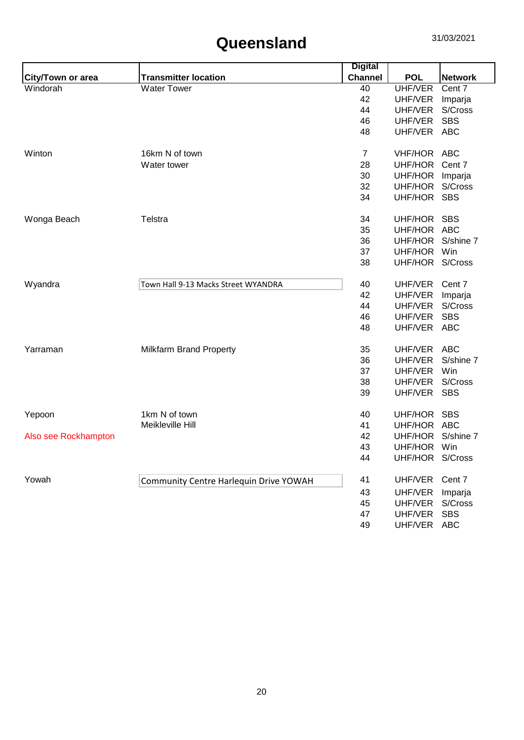|                          |                                               | <b>Digital</b> |                 |                |
|--------------------------|-----------------------------------------------|----------------|-----------------|----------------|
| <b>City/Town or area</b> | <b>Transmitter location</b>                   | <b>Channel</b> | <b>POL</b>      | <b>Network</b> |
| Windorah                 | <b>Water Tower</b>                            | 40             | UHF/VER         | Cent 7         |
|                          |                                               | 42             | UHF/VER         | Imparja        |
|                          |                                               | 44             | UHF/VER         | S/Cross        |
|                          |                                               | 46             | UHF/VER         | <b>SBS</b>     |
|                          |                                               | 48             | UHF/VER ABC     |                |
| Winton                   | 16km N of town                                | $\overline{7}$ | VHF/HOR ABC     |                |
|                          | Water tower                                   | 28             | UHF/HOR Cent 7  |                |
|                          |                                               | 30             | UHF/HOR         | Imparja        |
|                          |                                               | 32             | UHF/HOR         | S/Cross        |
|                          |                                               | 34             | UHF/HOR SBS     |                |
| Wonga Beach              | Telstra                                       | 34             | UHF/HOR         | <b>SBS</b>     |
|                          |                                               | 35             | UHF/HOR ABC     |                |
|                          |                                               | 36             | UHF/HOR         | S/shine 7      |
|                          |                                               | 37             | UHF/HOR         | Win            |
|                          |                                               | 38             | UHF/HOR S/Cross |                |
| Wyandra                  | Town Hall 9-13 Macks Street WYANDRA           | 40             | UHF/VER         | Cent 7         |
|                          |                                               | 42             | UHF/VER         | Imparja        |
|                          |                                               | 44             | UHF/VER         | S/Cross        |
|                          |                                               | 46             | UHF/VER         | <b>SBS</b>     |
|                          |                                               | 48             | UHF/VER ABC     |                |
| Yarraman                 | Milkfarm Brand Property                       | 35             | UHF/VER         | ABC            |
|                          |                                               | 36             | UHF/VER         | S/shine 7      |
|                          |                                               | 37             | UHF/VER         | Win            |
|                          |                                               | 38             | UHF/VER         | S/Cross        |
|                          |                                               | 39             | UHF/VER         | <b>SBS</b>     |
| Yepoon                   | 1km N of town                                 | 40             | UHF/HOR SBS     |                |
|                          | Meikleville Hill                              | 41             | UHF/HOR ABC     |                |
| Also see Rockhampton     |                                               | 42             | UHF/HOR         | S/shine 7      |
|                          |                                               | 43             | UHF/HOR         | Win            |
|                          |                                               | 44             | UHF/HOR S/Cross |                |
| Yowah                    | <b>Community Centre Harlequin Drive YOWAH</b> | 41             | UHF/VER         | Cent 7         |
|                          |                                               | 43             | UHF/VER         | Imparja        |
|                          |                                               | 45             | UHF/VER         | S/Cross        |
|                          |                                               | 47             | UHF/VER         | <b>SBS</b>     |
|                          |                                               | 49             | UHF/VER ABC     |                |
|                          |                                               |                |                 |                |